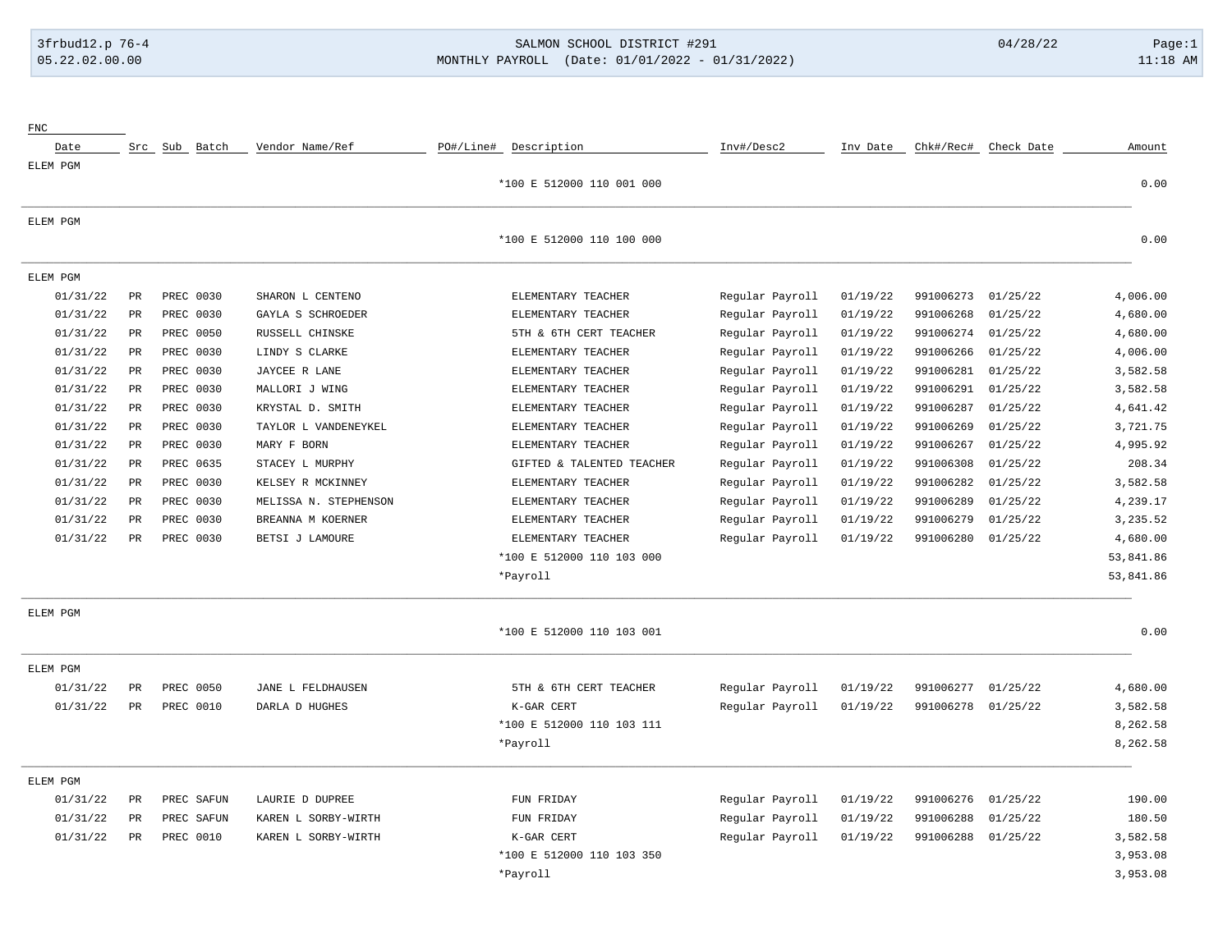## 3frbud12.p 76-4 SALMON SCHOOL DISTRICT #291 04/28/22 Page:1 05.22.02.00.00 MONTHLY PAYROLL (Date: 01/01/2022 - 01/31/2022) 11:18 AM

| Amount    | Check Date | Chk#/Rec# | Inv Date | Inv#/Desc2      | PO#/Line#<br>Description  | Vendor Name/Ref       |                  | Src Sub Batch | Date     |
|-----------|------------|-----------|----------|-----------------|---------------------------|-----------------------|------------------|---------------|----------|
| 0.00      |            |           |          |                 | *100 E 512000 110 001 000 |                       |                  |               | ELEM PGM |
|           |            |           |          |                 |                           |                       |                  |               | ELEM PGM |
| 0.00      |            |           |          |                 | *100 E 512000 110 100 000 |                       |                  |               |          |
|           |            |           |          |                 |                           |                       |                  |               | ELEM PGM |
| 4,006.00  | 01/25/22   | 991006273 | 01/19/22 | Regular Payroll | ELEMENTARY TEACHER        | SHARON L CENTENO      | PREC 0030        | PR            | 01/31/22 |
| 4,680.00  | 01/25/22   | 991006268 | 01/19/22 | Regular Payroll | ELEMENTARY TEACHER        | GAYLA S SCHROEDER     | PREC 0030        | PR            | 01/31/22 |
| 4,680.00  | 01/25/22   | 991006274 | 01/19/22 | Regular Payroll | 5TH & 6TH CERT TEACHER    | RUSSELL CHINSKE       | PREC 0050        | PR            | 01/31/22 |
| 4,006.00  | 01/25/22   | 991006266 | 01/19/22 | Regular Payroll | ELEMENTARY TEACHER        | LINDY S CLARKE        | PREC 0030        | PR            | 01/31/22 |
| 3,582.58  | 01/25/22   | 991006281 | 01/19/22 | Regular Payroll | ELEMENTARY TEACHER        | JAYCEE R LANE         | PREC 0030        | PR            | 01/31/22 |
| 3,582.58  | 01/25/22   | 991006291 | 01/19/22 | Regular Payroll | ELEMENTARY TEACHER        | MALLORI J WING        | PREC 0030        | PR            | 01/31/22 |
| 4,641.42  | 01/25/22   | 991006287 | 01/19/22 | Regular Payroll | ELEMENTARY TEACHER        | KRYSTAL D. SMITH      | PREC 0030        | PR            | 01/31/22 |
| 3,721.75  | 01/25/22   | 991006269 | 01/19/22 | Regular Payroll | ELEMENTARY TEACHER        | TAYLOR L VANDENEYKEL  | PREC 0030        | PR            | 01/31/22 |
| 4,995.92  | 01/25/22   | 991006267 | 01/19/22 | Regular Payroll | ELEMENTARY TEACHER        | MARY F BORN           | PREC 0030        | PR            | 01/31/22 |
| 208.34    | 01/25/22   | 991006308 | 01/19/22 | Regular Payroll | GIFTED & TALENTED TEACHER | STACEY L MURPHY       | PREC 0635        | PR            | 01/31/22 |
| 3,582.58  | 01/25/22   | 991006282 | 01/19/22 | Regular Payroll | ELEMENTARY TEACHER        | KELSEY R MCKINNEY     | PREC 0030        | PR            | 01/31/22 |
| 4,239.17  | 01/25/22   | 991006289 | 01/19/22 | Regular Payroll | ELEMENTARY TEACHER        | MELISSA N. STEPHENSON | PREC 0030        | PR            | 01/31/22 |
| 3,235.52  | 01/25/22   | 991006279 | 01/19/22 | Regular Payroll | ELEMENTARY TEACHER        | BREANNA M KOERNER     | PREC 0030        | PR            | 01/31/22 |
| 4,680.00  | 01/25/22   | 991006280 | 01/19/22 | Regular Payroll | ELEMENTARY TEACHER        | BETSI J LAMOURE       | PREC 0030        | PR            | 01/31/22 |
| 53,841.86 |            |           |          |                 | *100 E 512000 110 103 000 |                       |                  |               |          |
| 53,841.86 |            |           |          |                 | *Payroll                  |                       |                  |               |          |
|           |            |           |          |                 |                           |                       |                  |               | ELEM PGM |
| 0.00      |            |           |          |                 | *100 E 512000 110 103 001 |                       |                  |               |          |
|           |            |           |          |                 |                           |                       |                  |               | ELEM PGM |
| 4,680.00  | 01/25/22   | 991006277 | 01/19/22 | Regular Payroll | 5TH & 6TH CERT TEACHER    | JANE L FELDHAUSEN     | <b>PREC 0050</b> | PR            | 01/31/22 |
| 3,582.58  | 01/25/22   | 991006278 | 01/19/22 | Regular Payroll | K-GAR CERT                | DARLA D HUGHES        | <b>PREC 0010</b> | PR            | 01/31/22 |
| 8,262.58  |            |           |          |                 | *100 E 512000 110 103 111 |                       |                  |               |          |
| 8,262.58  |            |           |          |                 | *Payroll                  |                       |                  |               |          |
|           |            |           |          |                 |                           |                       |                  |               | ELEM PGM |
| 190.00    | 01/25/22   | 991006276 | 01/19/22 | Regular Payroll | FUN FRIDAY                | LAURIE D DUPREE       | PREC SAFUN       | PR            | 01/31/22 |
| 180.50    | 01/25/22   | 991006288 | 01/19/22 | Regular Payroll | FUN FRIDAY                | KAREN L SORBY-WIRTH   | PREC SAFUN       | PR            | 01/31/22 |
| 3,582.58  | 01/25/22   | 991006288 | 01/19/22 | Regular Payroll | K-GAR CERT                | KAREN L SORBY-WIRTH   | <b>PREC 0010</b> | PR            | 01/31/22 |
| 3,953.08  |            |           |          |                 | *100 E 512000 110 103 350 |                       |                  |               |          |
| 3,953.08  |            |           |          |                 | *Payroll                  |                       |                  |               |          |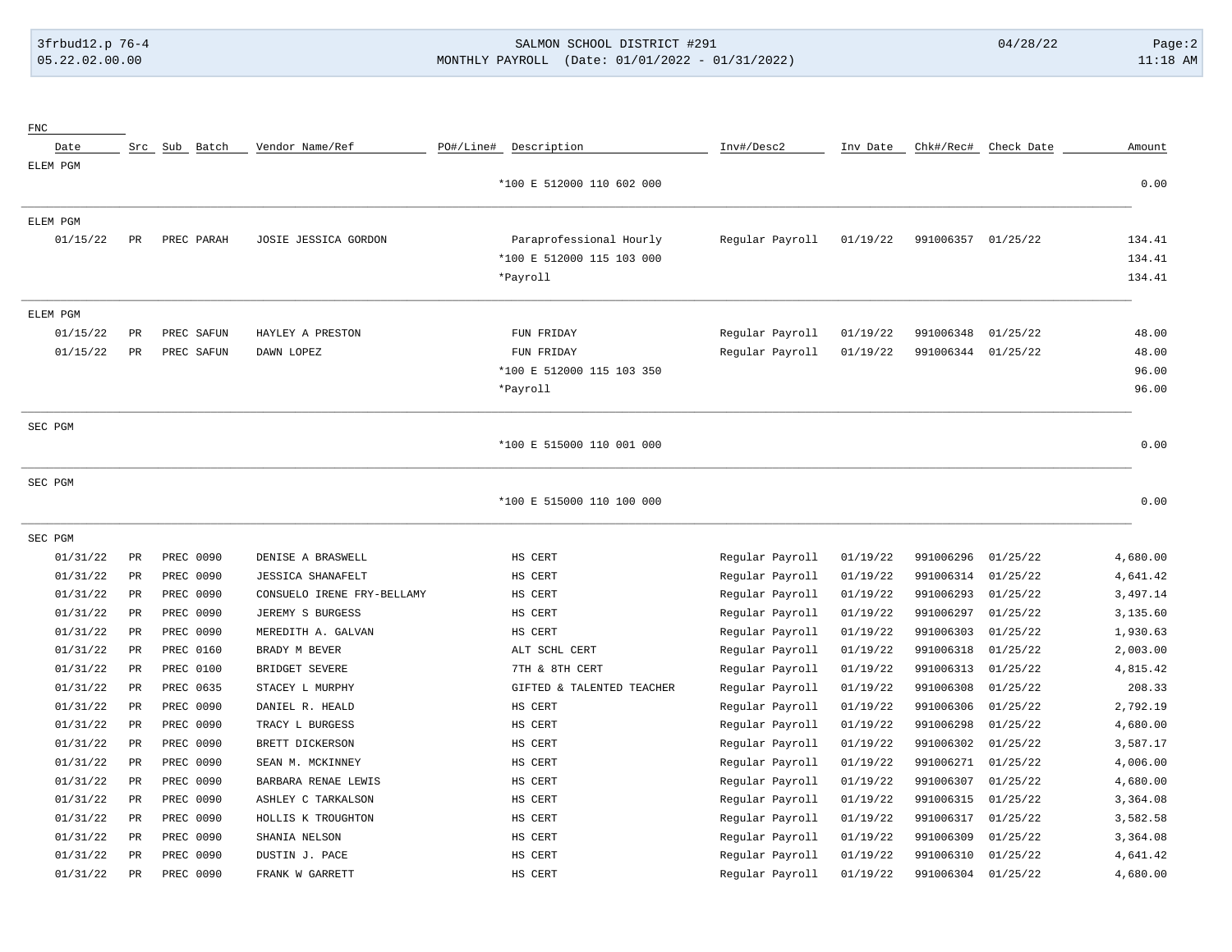FNC

### 3frbud12.p 76-4 SALMON SCHOOL DISTRICT #291 04/28/22 Page:2 05.22.02.00.00 MONTHLY PAYROLL (Date: 01/01/2022 - 01/31/2022) 11:18 AM

| Date     |             | Src Sub Batch | Vendor Name/Ref            | PO#/Line# | Description               | Inv#/Desc2      | Inv Date | Chk#/Rec# | Check Date | Amount   |
|----------|-------------|---------------|----------------------------|-----------|---------------------------|-----------------|----------|-----------|------------|----------|
| ELEM PGM |             |               |                            |           |                           |                 |          |           |            |          |
|          |             |               |                            |           | *100 E 512000 110 602 000 |                 |          |           |            | 0.00     |
| ELEM PGM |             |               |                            |           |                           |                 |          |           |            |          |
| 01/15/22 | PR          | PREC PARAH    | JOSIE JESSICA GORDON       |           | Paraprofessional Hourly   | Regular Payroll | 01/19/22 | 991006357 | 01/25/22   | 134.41   |
|          |             |               |                            |           | *100 E 512000 115 103 000 |                 |          |           |            | 134.41   |
|          |             |               |                            |           | *Payroll                  |                 |          |           |            | 134.41   |
| ELEM PGM |             |               |                            |           |                           |                 |          |           |            |          |
| 01/15/22 | $_{\rm PR}$ | PREC SAFUN    | HAYLEY A PRESTON           |           | FUN FRIDAY                | Regular Payroll | 01/19/22 | 991006348 | 01/25/22   | 48.00    |
| 01/15/22 | $_{\rm PR}$ | PREC SAFUN    | DAWN LOPEZ                 |           | FUN FRIDAY                | Regular Payroll | 01/19/22 | 991006344 | 01/25/22   | 48.00    |
|          |             |               |                            |           | *100 E 512000 115 103 350 |                 |          |           |            | 96.00    |
|          |             |               |                            |           | *Payroll                  |                 |          |           |            | 96.00    |
| SEC PGM  |             |               |                            |           |                           |                 |          |           |            |          |
|          |             |               |                            |           | *100 E 515000 110 001 000 |                 |          |           |            | 0.00     |
| SEC PGM  |             |               |                            |           |                           |                 |          |           |            |          |
|          |             |               |                            |           | *100 E 515000 110 100 000 |                 |          |           |            | 0.00     |
| SEC PGM  |             |               |                            |           |                           |                 |          |           |            |          |
| 01/31/22 | PR          | PREC 0090     | DENISE A BRASWELL          |           | HS CERT                   | Regular Payroll | 01/19/22 | 991006296 | 01/25/22   | 4,680.00 |
| 01/31/22 | PR          | PREC 0090     | <b>JESSICA SHANAFELT</b>   |           | HS CERT                   | Regular Payroll | 01/19/22 | 991006314 | 01/25/22   | 4,641.42 |
| 01/31/22 | $_{\rm PR}$ | PREC 0090     | CONSUELO IRENE FRY-BELLAMY |           | HS CERT                   | Regular Payroll | 01/19/22 | 991006293 | 01/25/22   | 3,497.14 |
| 01/31/22 | $_{\rm PR}$ | PREC 0090     | JEREMY S BURGESS           |           | HS CERT                   | Regular Payroll | 01/19/22 | 991006297 | 01/25/22   | 3,135.60 |
| 01/31/22 | $_{\rm PR}$ | PREC 0090     | MEREDITH A. GALVAN         |           | HS CERT                   | Regular Payroll | 01/19/22 | 991006303 | 01/25/22   | 1,930.63 |
| 01/31/22 | $_{\rm PR}$ | PREC 0160     | BRADY M BEVER              |           | ALT SCHL CERT             | Regular Payroll | 01/19/22 | 991006318 | 01/25/22   | 2,003.00 |
| 01/31/22 | $_{\rm PR}$ | PREC 0100     | BRIDGET SEVERE             |           | 7TH & 8TH CERT            | Regular Payroll | 01/19/22 | 991006313 | 01/25/22   | 4,815.42 |
| 01/31/22 | $_{\rm PR}$ | PREC 0635     | STACEY L MURPHY            |           | GIFTED & TALENTED TEACHER | Regular Payroll | 01/19/22 | 991006308 | 01/25/22   | 208.33   |
| 01/31/22 | $_{\rm PR}$ | PREC 0090     | DANIEL R. HEALD            |           | HS CERT                   | Regular Payroll | 01/19/22 | 991006306 | 01/25/22   | 2,792.19 |
| 01/31/22 | $_{\rm PR}$ | PREC 0090     | TRACY L BURGESS            |           | HS CERT                   | Regular Payroll | 01/19/22 | 991006298 | 01/25/22   | 4,680.00 |
| 01/31/22 | $_{\rm PR}$ | PREC 0090     | BRETT DICKERSON            |           | HS CERT                   | Regular Payroll | 01/19/22 | 991006302 | 01/25/22   | 3,587.17 |
| 01/31/22 | $_{\rm PR}$ | PREC 0090     | SEAN M. MCKINNEY           |           | HS CERT                   | Regular Payroll | 01/19/22 | 991006271 | 01/25/22   | 4,006.00 |
| 01/31/22 | PR          | PREC 0090     | BARBARA RENAE LEWIS        |           | HS CERT                   | Regular Payroll | 01/19/22 | 991006307 | 01/25/22   | 4,680.00 |
| 01/31/22 | $_{\rm PR}$ | PREC 0090     | ASHLEY C TARKALSON         |           | HS CERT                   | Regular Payroll | 01/19/22 | 991006315 | 01/25/22   | 3,364.08 |
| 01/31/22 | $_{\rm PR}$ | PREC 0090     | HOLLIS K TROUGHTON         |           | HS CERT                   | Regular Payroll | 01/19/22 | 991006317 | 01/25/22   | 3,582.58 |
| 01/31/22 | $_{\rm PR}$ | PREC 0090     | SHANIA NELSON              |           | HS CERT                   | Regular Payroll | 01/19/22 | 991006309 | 01/25/22   | 3,364.08 |
| 01/31/22 | $_{\rm PR}$ | PREC 0090     | DUSTIN J. PACE             |           | HS CERT                   | Regular Payroll | 01/19/22 | 991006310 | 01/25/22   | 4,641.42 |
| 01/31/22 | $_{\rm PR}$ | PREC 0090     | FRANK W GARRETT            |           | HS CERT                   | Regular Payroll | 01/19/22 | 991006304 | 01/25/22   | 4,680.00 |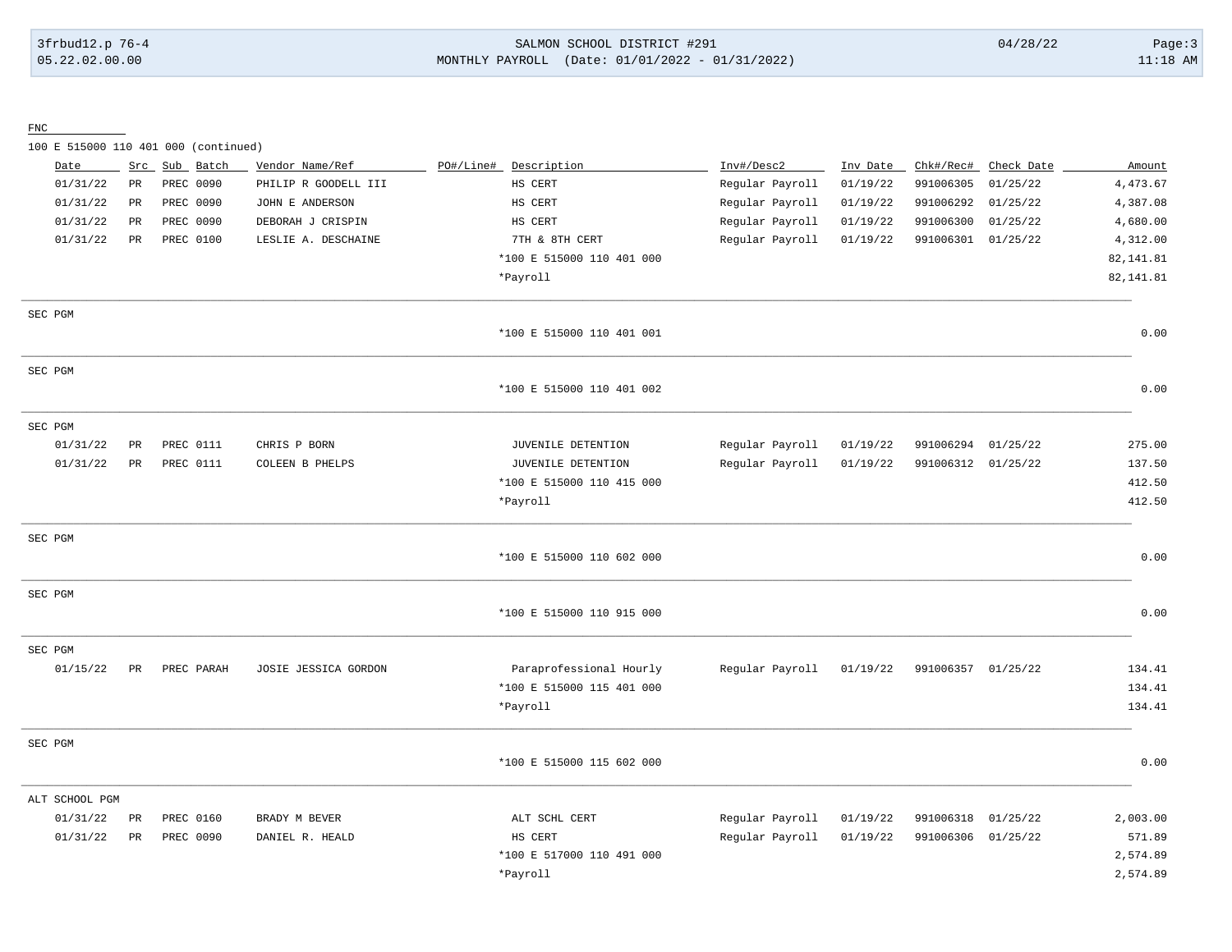## 3frbud12.p 76-4 SALMON SCHOOL DISTRICT #291 04/28/22 Page:3 05.22.02.00.00 MONTHLY PAYROLL (Date: 01/01/2022 - 01/31/2022) 11:18 AM

FNC

100 E 515000 110 401 000 (continued)

| Date           |             | Src Sub Batch    | Vendor Name/Ref      | PO#/Line#<br>Description  | Inv#/Desc2      | Inv Date | Chk#/Rec#          | Check Date | Amount     |
|----------------|-------------|------------------|----------------------|---------------------------|-----------------|----------|--------------------|------------|------------|
| 01/31/22       | $_{\rm PR}$ | PREC 0090        | PHILIP R GOODELL III | HS CERT                   | Regular Payroll | 01/19/22 | 991006305          | 01/25/22   | 4,473.67   |
| 01/31/22       | PR          | PREC 0090        | JOHN E ANDERSON      | HS CERT                   | Regular Payroll | 01/19/22 | 991006292          | 01/25/22   | 4,387.08   |
| 01/31/22       | $_{\rm PR}$ | PREC 0090        | DEBORAH J CRISPIN    | HS CERT                   | Regular Payroll | 01/19/22 | 991006300          | 01/25/22   | 4,680.00   |
| 01/31/22       | PR          | PREC 0100        | LESLIE A. DESCHAINE  | 7TH & 8TH CERT            | Regular Payroll | 01/19/22 | 991006301          | 01/25/22   | 4,312.00   |
|                |             |                  |                      | *100 E 515000 110 401 000 |                 |          |                    |            | 82, 141.81 |
|                |             |                  |                      | *Payroll                  |                 |          |                    |            | 82, 141.81 |
| SEC PGM        |             |                  |                      |                           |                 |          |                    |            |            |
|                |             |                  |                      | *100 E 515000 110 401 001 |                 |          |                    |            | 0.00       |
| SEC PGM        |             |                  |                      |                           |                 |          |                    |            |            |
|                |             |                  |                      | *100 E 515000 110 401 002 |                 |          |                    |            | 0.00       |
| SEC PGM        |             |                  |                      |                           |                 |          |                    |            |            |
| 01/31/22       | PR          | PREC 0111        | CHRIS P BORN         | JUVENILE DETENTION        | Regular Payroll | 01/19/22 | 991006294          | 01/25/22   | 275.00     |
| 01/31/22       | PR          | <b>PREC 0111</b> | COLEEN B PHELPS      | JUVENILE DETENTION        | Regular Payroll | 01/19/22 | 991006312 01/25/22 |            | 137.50     |
|                |             |                  |                      | *100 E 515000 110 415 000 |                 |          |                    |            | 412.50     |
|                |             |                  |                      | *Payroll                  |                 |          |                    |            | 412.50     |
| SEC PGM        |             |                  |                      |                           |                 |          |                    |            |            |
|                |             |                  |                      | *100 E 515000 110 602 000 |                 |          |                    |            | 0.00       |
| SEC PGM        |             |                  |                      |                           |                 |          |                    |            |            |
|                |             |                  |                      | *100 E 515000 110 915 000 |                 |          |                    |            | 0.00       |
| SEC PGM        |             |                  |                      |                           |                 |          |                    |            |            |
| 01/15/22       | PR          | PREC PARAH       | JOSIE JESSICA GORDON | Paraprofessional Hourly   | Regular Payroll | 01/19/22 | 991006357          | 01/25/22   | 134.41     |
|                |             |                  |                      | *100 E 515000 115 401 000 |                 |          |                    |            | 134.41     |
|                |             |                  |                      | *Payroll                  |                 |          |                    |            | 134.41     |
| SEC PGM        |             |                  |                      |                           |                 |          |                    |            |            |
|                |             |                  |                      | *100 E 515000 115 602 000 |                 |          |                    |            | 0.00       |
| ALT SCHOOL PGM |             |                  |                      |                           |                 |          |                    |            |            |
| 01/31/22       | PR          | PREC 0160        | BRADY M BEVER        | ALT SCHL CERT             | Regular Payroll | 01/19/22 | 991006318          | 01/25/22   | 2,003.00   |
| 01/31/22       | PR          | PREC 0090        | DANIEL R. HEALD      | HS CERT                   | Regular Payroll | 01/19/22 | 991006306 01/25/22 |            | 571.89     |
|                |             |                  |                      | *100 E 517000 110 491 000 |                 |          |                    |            | 2,574.89   |
|                |             |                  |                      | *Payroll                  |                 |          |                    |            | 2,574.89   |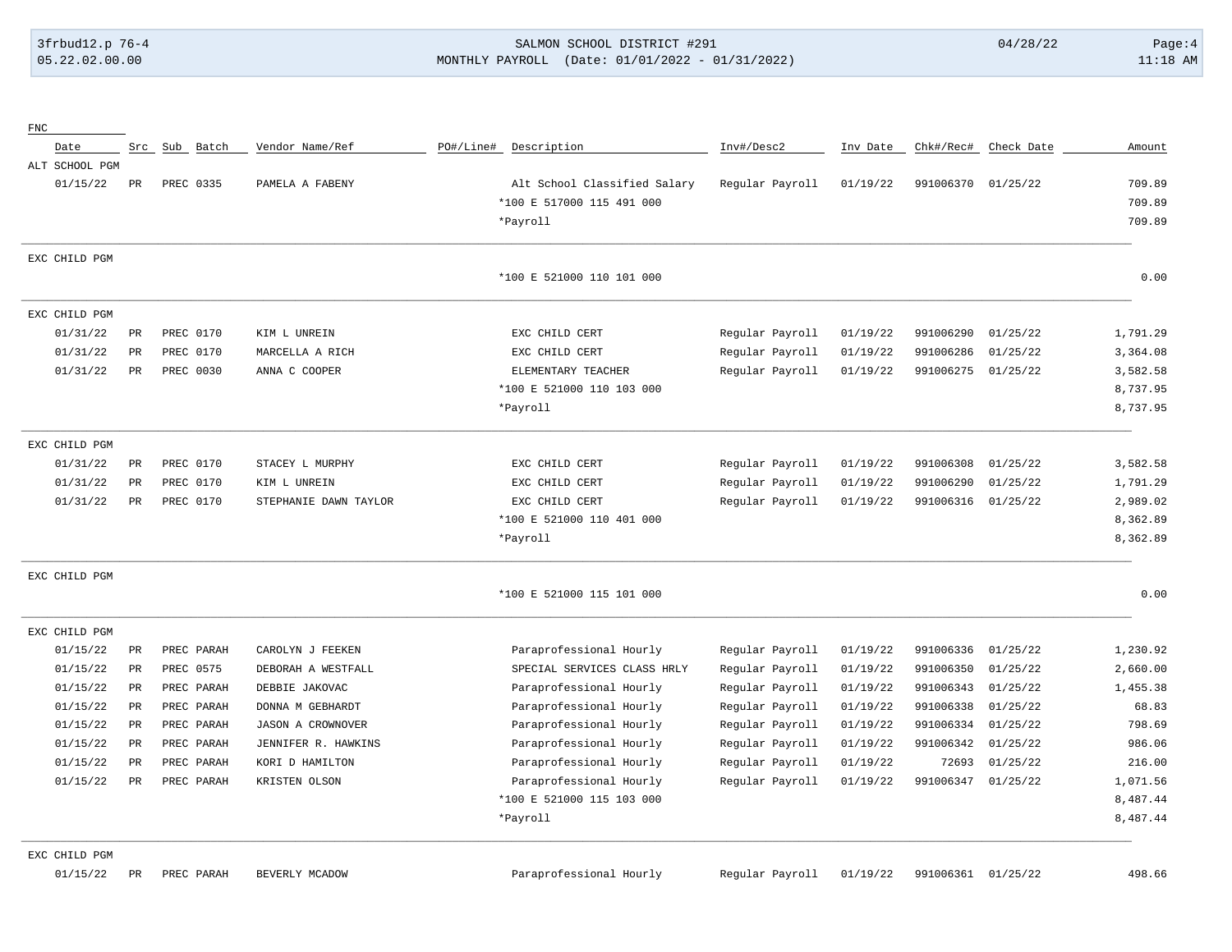#### 3frbud12.p 76-4 SALMON SCHOOL DISTRICT #291 04/28/22 Page:4 05.22.02.00.00 MONTHLY PAYROLL (Date: 01/01/2022 - 01/31/2022) 11:18 AM

| ${\rm FNC}$    |           |               |                          |                              |                 |          |                    |            |          |
|----------------|-----------|---------------|--------------------------|------------------------------|-----------------|----------|--------------------|------------|----------|
| Date           |           | Src Sub Batch | Vendor Name/Ref          | PO#/Line#<br>Description     | Inv#/Desc2      | Inv Date | Chk#/Rec#          | Check Date | Amount   |
| ALT SCHOOL PGM |           |               |                          |                              |                 |          |                    |            |          |
| 01/15/22       | PR        | PREC 0335     | PAMELA A FABENY          | Alt School Classified Salary | Regular Payroll | 01/19/22 | 991006370 01/25/22 |            | 709.89   |
|                |           |               |                          | *100 E 517000 115 491 000    |                 |          |                    |            | 709.89   |
|                |           |               |                          | *Payroll                     |                 |          |                    |            | 709.89   |
| EXC CHILD PGM  |           |               |                          |                              |                 |          |                    |            |          |
|                |           |               |                          | *100 E 521000 110 101 000    |                 |          |                    |            | 0.00     |
| EXC CHILD PGM  |           |               |                          |                              |                 |          |                    |            |          |
| 01/31/22       | PR        | PREC 0170     | KIM L UNREIN             | EXC CHILD CERT               | Regular Payroll | 01/19/22 | 991006290          | 01/25/22   | 1,791.29 |
| 01/31/22       | PR        | PREC 0170     | MARCELLA A RICH          | EXC CHILD CERT               | Regular Payroll | 01/19/22 | 991006286          | 01/25/22   | 3,364.08 |
| 01/31/22       | PR        | PREC 0030     | ANNA C COOPER            | ELEMENTARY TEACHER           | Regular Payroll | 01/19/22 | 991006275          | 01/25/22   | 3,582.58 |
|                |           |               |                          | *100 E 521000 110 103 000    |                 |          |                    |            | 8,737.95 |
|                |           |               |                          | *Payroll                     |                 |          |                    |            | 8,737.95 |
| EXC CHILD PGM  |           |               |                          |                              |                 |          |                    |            |          |
| 01/31/22       | PR        | PREC 0170     | STACEY L MURPHY          | EXC CHILD CERT               | Regular Payroll | 01/19/22 | 991006308          | 01/25/22   | 3,582.58 |
| 01/31/22       | PR        | PREC 0170     | KIM L UNREIN             | EXC CHILD CERT               | Regular Payroll | 01/19/22 | 991006290          | 01/25/22   | 1,791.29 |
| 01/31/22       | PR        | PREC 0170     | STEPHANIE DAWN TAYLOR    | EXC CHILD CERT               | Regular Payroll | 01/19/22 | 991006316          | 01/25/22   | 2,989.02 |
|                |           |               |                          | *100 E 521000 110 401 000    |                 |          |                    |            | 8,362.89 |
|                |           |               |                          | *Payroll                     |                 |          |                    |            | 8,362.89 |
| EXC CHILD PGM  |           |               |                          |                              |                 |          |                    |            |          |
|                |           |               |                          | *100 E 521000 115 101 000    |                 |          |                    |            | 0.00     |
| EXC CHILD PGM  |           |               |                          |                              |                 |          |                    |            |          |
| 01/15/22       | PR        | PREC PARAH    | CAROLYN J FEEKEN         | Paraprofessional Hourly      | Regular Payroll | 01/19/22 | 991006336          | 01/25/22   | 1,230.92 |
| 01/15/22       | PR        | PREC 0575     | DEBORAH A WESTFALL       | SPECIAL SERVICES CLASS HRLY  | Regular Payroll | 01/19/22 | 991006350          | 01/25/22   | 2,660.00 |
| 01/15/22       | PR        | PREC PARAH    | DEBBIE JAKOVAC           | Paraprofessional Hourly      | Regular Payroll | 01/19/22 | 991006343          | 01/25/22   | 1,455.38 |
| 01/15/22       | PR        | PREC PARAH    | DONNA M GEBHARDT         | Paraprofessional Hourly      | Regular Payroll | 01/19/22 | 991006338          | 01/25/22   | 68.83    |
| 01/15/22       | PR        | PREC PARAH    | <b>JASON A CROWNOVER</b> | Paraprofessional Hourly      | Regular Payroll | 01/19/22 | 991006334          | 01/25/22   | 798.69   |
| 01/15/22       | PR        | PREC PARAH    | JENNIFER R. HAWKINS      | Paraprofessional Hourly      | Regular Payroll | 01/19/22 | 991006342          | 01/25/22   | 986.06   |
| 01/15/22       | <b>PR</b> | PREC PARAH    | KORI D HAMILTON          | Paraprofessional Hourly      | Regular Payroll | 01/19/22 | 72693              | 01/25/22   | 216.00   |
| 01/15/22       | PR        | PREC PARAH    | KRISTEN OLSON            | Paraprofessional Hourly      | Regular Payroll | 01/19/22 | 991006347          | 01/25/22   | 1,071.56 |
|                |           |               |                          | *100 E 521000 115 103 000    |                 |          |                    |            | 8,487.44 |
|                |           |               |                          | *Payroll                     |                 |          |                    |            | 8,487.44 |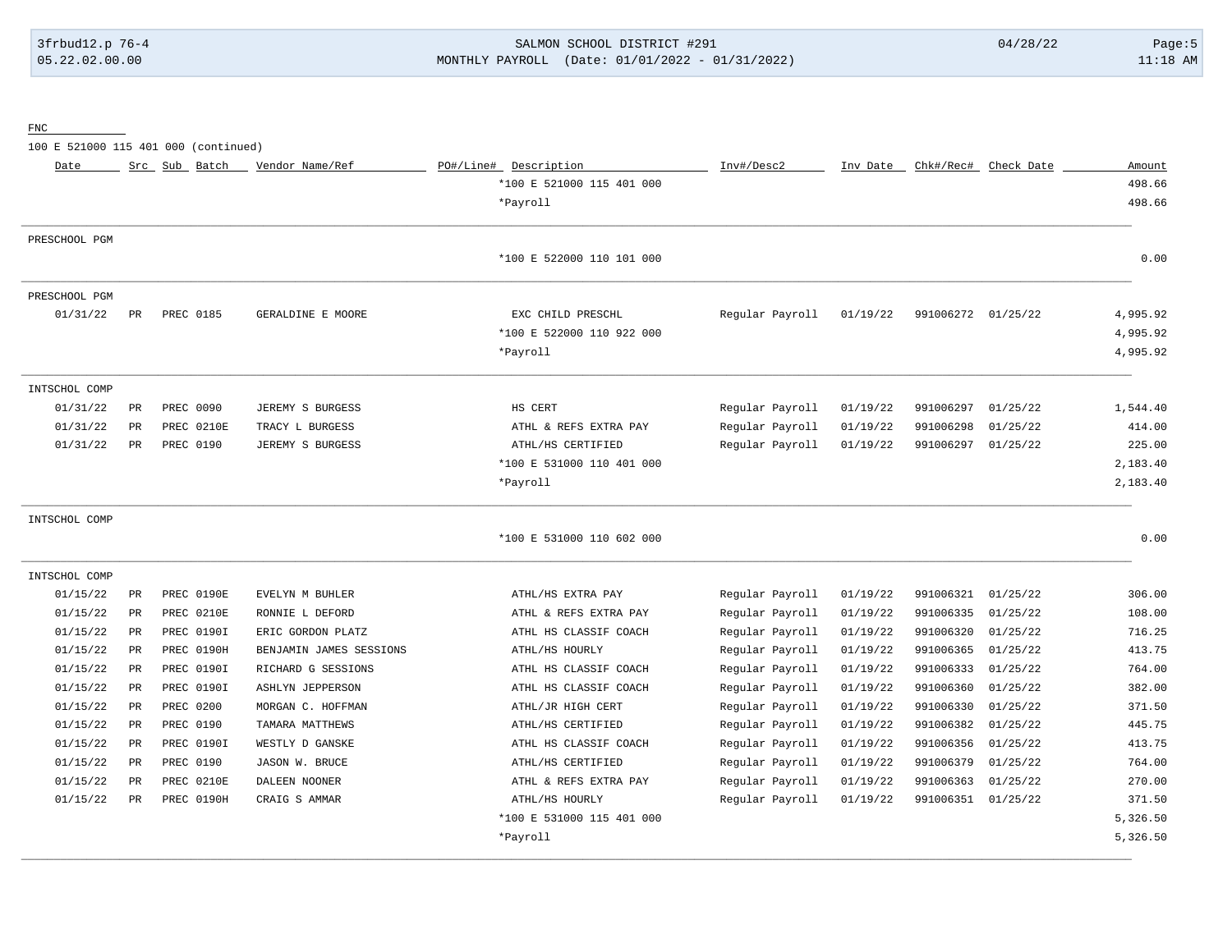# 3frbud12.p 76-4 SALMON SCHOOL DISTRICT #291 04/28/22 Page:5 05.22.02.00.00 MONTHLY PAYROLL (Date: 01/01/2022 - 01/31/2022) 11:18 AM

FNC

100 E 521000 115 401 000 (continued)

| Date          |             | Src Sub Batch     | Vendor Name/Ref         | PO#/Line# Description     | Inv#/Desc2      | Inv Date |                    | Chk#/Rec# Check Date | Amount   |
|---------------|-------------|-------------------|-------------------------|---------------------------|-----------------|----------|--------------------|----------------------|----------|
|               |             |                   |                         | *100 E 521000 115 401 000 |                 |          |                    |                      | 498.66   |
|               |             |                   |                         | *Payroll                  |                 |          |                    |                      | 498.66   |
|               |             |                   |                         |                           |                 |          |                    |                      |          |
| PRESCHOOL PGM |             |                   |                         |                           |                 |          |                    |                      |          |
|               |             |                   |                         | *100 E 522000 110 101 000 |                 |          |                    |                      | 0.00     |
| PRESCHOOL PGM |             |                   |                         |                           |                 |          |                    |                      |          |
| 01/31/22      | PR          | PREC 0185         | GERALDINE E MOORE       | EXC CHILD PRESCHL         | Regular Payroll | 01/19/22 | 991006272 01/25/22 |                      | 4,995.92 |
|               |             |                   |                         | *100 E 522000 110 922 000 |                 |          |                    |                      | 4,995.92 |
|               |             |                   |                         | *Payroll                  |                 |          |                    |                      | 4,995.92 |
| INTSCHOL COMP |             |                   |                         |                           |                 |          |                    |                      |          |
| 01/31/22      | PR          | PREC 0090         | JEREMY S BURGESS        | HS CERT                   | Regular Payroll | 01/19/22 | 991006297          | 01/25/22             | 1,544.40 |
| 01/31/22      | PR          | PREC 0210E        | TRACY L BURGESS         | ATHL & REFS EXTRA PAY     | Regular Payroll | 01/19/22 | 991006298          | 01/25/22             | 414.00   |
| 01/31/22      | PR          | PREC 0190         | JEREMY S BURGESS        | ATHL/HS CERTIFIED         | Regular Payroll | 01/19/22 | 991006297 01/25/22 |                      | 225.00   |
|               |             |                   |                         | *100 E 531000 110 401 000 |                 |          |                    |                      | 2,183.40 |
|               |             |                   |                         | *Payroll                  |                 |          |                    |                      | 2,183.40 |
| INTSCHOL COMP |             |                   |                         |                           |                 |          |                    |                      |          |
|               |             |                   |                         | *100 E 531000 110 602 000 |                 |          |                    |                      | 0.00     |
| INTSCHOL COMP |             |                   |                         |                           |                 |          |                    |                      |          |
| 01/15/22      | PR          | PREC 0190E        | EVELYN M BUHLER         | ATHL/HS EXTRA PAY         | Regular Payroll | 01/19/22 | 991006321          | 01/25/22             | 306.00   |
| 01/15/22      | PR          | PREC 0210E        | RONNIE L DEFORD         | ATHL & REFS EXTRA PAY     | Regular Payroll | 01/19/22 | 991006335          | 01/25/22             | 108.00   |
| 01/15/22      | PR          | PREC 0190I        | ERIC GORDON PLATZ       | ATHL HS CLASSIF COACH     | Regular Payroll | 01/19/22 | 991006320          | 01/25/22             | 716.25   |
| 01/15/22      | PR          | <b>PREC 0190H</b> | BENJAMIN JAMES SESSIONS | ATHL/HS HOURLY            | Regular Payroll | 01/19/22 | 991006365          | 01/25/22             | 413.75   |
| 01/15/22      | PR          | PREC 0190I        | RICHARD G SESSIONS      | ATHL HS CLASSIF COACH     | Regular Payroll | 01/19/22 | 991006333          | 01/25/22             | 764.00   |
| 01/15/22      | PR          | PREC 0190I        | <b>ASHLYN JEPPERSON</b> | ATHL HS CLASSIF COACH     | Regular Payroll | 01/19/22 | 991006360          | 01/25/22             | 382.00   |
| 01/15/22      | PR          | PREC 0200         | MORGAN C. HOFFMAN       | ATHL/JR HIGH CERT         | Regular Payroll | 01/19/22 | 991006330          | 01/25/22             | 371.50   |
| 01/15/22      | $_{\rm PR}$ | PREC 0190         | TAMARA MATTHEWS         | ATHL/HS CERTIFIED         | Regular Payroll | 01/19/22 | 991006382          | 01/25/22             | 445.75   |
| 01/15/22      | PR          | PREC 0190I        | WESTLY D GANSKE         | ATHL HS CLASSIF COACH     | Regular Payroll | 01/19/22 | 991006356          | 01/25/22             | 413.75   |
| 01/15/22      | PR          | PREC 0190         | JASON W. BRUCE          | ATHL/HS CERTIFIED         | Regular Payroll | 01/19/22 | 991006379          | 01/25/22             | 764.00   |
| 01/15/22      | PR          | PREC 0210E        | DALEEN NOONER           | ATHL & REFS EXTRA PAY     | Regular Payroll | 01/19/22 | 991006363          | 01/25/22             | 270.00   |
| 01/15/22      | PR          | PREC 0190H        | CRAIG S AMMAR           | ATHL/HS HOURLY            | Regular Payroll | 01/19/22 | 991006351 01/25/22 |                      | 371.50   |
|               |             |                   |                         | *100 E 531000 115 401 000 |                 |          |                    |                      | 5,326.50 |
|               |             |                   |                         | *Payroll                  |                 |          |                    |                      | 5,326.50 |
|               |             |                   |                         |                           |                 |          |                    |                      |          |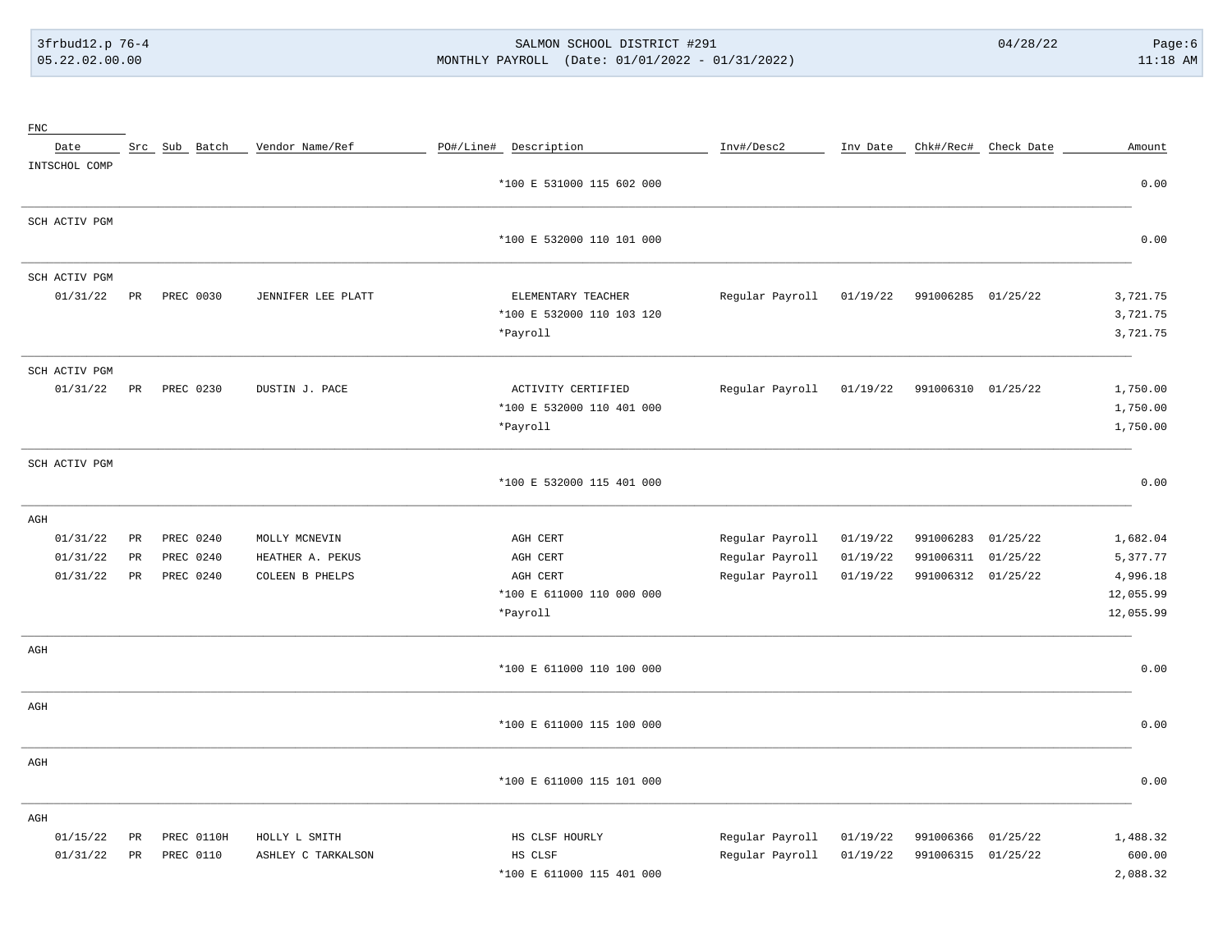# 3frbud12.p 76-4 SALMON SCHOOL DISTRICT #291 04/28/22 Page:6 05.22.02.00.00 MONTHLY PAYROLL (Date: 01/01/2022 - 01/31/2022) 11:18 AM

| $_{\rm FNC}$  |             |               |                    |                           |                 |          |                    |                      |           |
|---------------|-------------|---------------|--------------------|---------------------------|-----------------|----------|--------------------|----------------------|-----------|
| Date          |             | Src Sub Batch | Vendor Name/Ref    | PO#/Line# Description     | Inv#/Desc2      | Inv Date |                    | Chk#/Rec# Check Date | Amount    |
| INTSCHOL COMP |             |               |                    |                           |                 |          |                    |                      |           |
|               |             |               |                    | *100 E 531000 115 602 000 |                 |          |                    |                      | 0.00      |
| SCH ACTIV PGM |             |               |                    |                           |                 |          |                    |                      |           |
|               |             |               |                    | *100 E 532000 110 101 000 |                 |          |                    |                      | 0.00      |
| SCH ACTIV PGM |             |               |                    |                           |                 |          |                    |                      |           |
| 01/31/22      | $_{\rm PR}$ | PREC 0030     | JENNIFER LEE PLATT | ELEMENTARY TEACHER        | Regular Payroll | 01/19/22 | 991006285 01/25/22 |                      | 3,721.75  |
|               |             |               |                    | *100 E 532000 110 103 120 |                 |          |                    |                      | 3,721.75  |
|               |             |               |                    | *Payroll                  |                 |          |                    |                      | 3,721.75  |
| SCH ACTIV PGM |             |               |                    |                           |                 |          |                    |                      |           |
| 01/31/22      | $_{\rm PR}$ | PREC 0230     | DUSTIN J. PACE     | ACTIVITY CERTIFIED        | Regular Payroll | 01/19/22 | 991006310 01/25/22 |                      | 1,750.00  |
|               |             |               |                    | *100 E 532000 110 401 000 |                 |          |                    |                      | 1,750.00  |
|               |             |               |                    | *Payroll                  |                 |          |                    |                      | 1,750.00  |
| SCH ACTIV PGM |             |               |                    |                           |                 |          |                    |                      |           |
|               |             |               |                    | *100 E 532000 115 401 000 |                 |          |                    |                      | 0.00      |
| AGH           |             |               |                    |                           |                 |          |                    |                      |           |
| 01/31/22      | $_{\rm PR}$ | PREC 0240     | MOLLY MCNEVIN      | AGH CERT                  | Regular Payroll | 01/19/22 | 991006283          | 01/25/22             | 1,682.04  |
| 01/31/22      | PR          | PREC 0240     | HEATHER A. PEKUS   | AGH CERT                  | Regular Payroll | 01/19/22 | 991006311          | 01/25/22             | 5,377.77  |
| 01/31/22      | PR          | PREC 0240     | COLEEN B PHELPS    | AGH CERT                  | Regular Payroll | 01/19/22 | 991006312 01/25/22 |                      | 4,996.18  |
|               |             |               |                    | *100 E 611000 110 000 000 |                 |          |                    |                      | 12,055.99 |
|               |             |               |                    | *Payroll                  |                 |          |                    |                      | 12,055.99 |
| AGH           |             |               |                    |                           |                 |          |                    |                      |           |
|               |             |               |                    | *100 E 611000 110 100 000 |                 |          |                    |                      | 0.00      |
| AGH           |             |               |                    |                           |                 |          |                    |                      |           |
|               |             |               |                    | *100 E 611000 115 100 000 |                 |          |                    |                      | 0.00      |
| $\rm{AGH}$    |             |               |                    |                           |                 |          |                    |                      |           |
|               |             |               |                    | *100 E 611000 115 101 000 |                 |          |                    |                      | 0.00      |
| AGH           |             |               |                    |                           |                 |          |                    |                      |           |
| 01/15/22      | PR          | PREC 0110H    | HOLLY L SMITH      | HS CLSF HOURLY            | Regular Payroll | 01/19/22 | 991006366          | 01/25/22             | 1,488.32  |
| 01/31/22      | PR          | PREC 0110     | ASHLEY C TARKALSON | HS CLSF                   | Regular Payroll | 01/19/22 | 991006315 01/25/22 |                      | 600.00    |
|               |             |               |                    | *100 E 611000 115 401 000 |                 |          |                    |                      | 2,088.32  |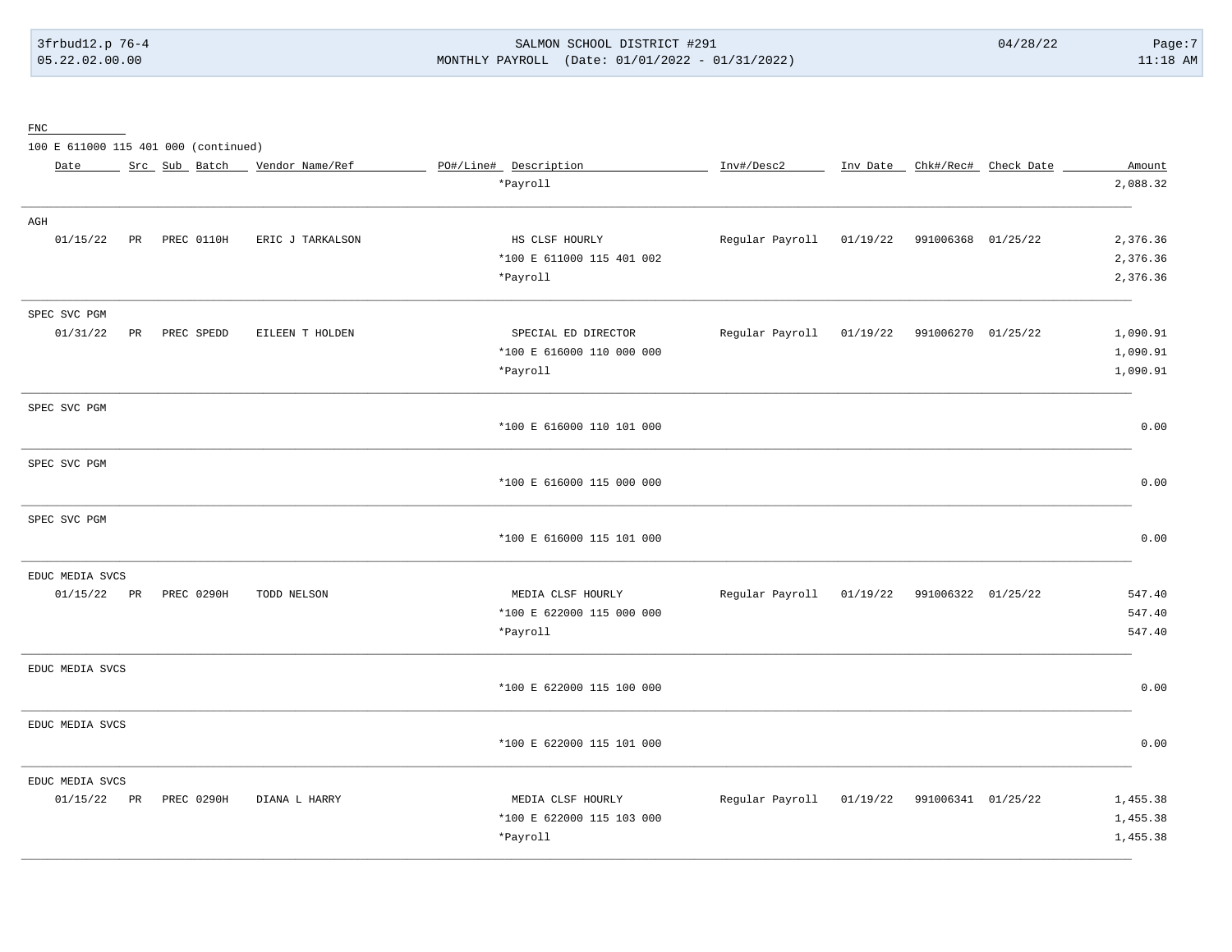# 3frbud12.p 76-4 SALMON SCHOOL DISTRICT #291 04/28/22 Page:7 05.22.02.00.00 MONTHLY PAYROLL (Date: 01/01/2022 - 01/31/2022) 11:18 AM

FNC

100 E 611000 115 401 000 (continued)

| Date            |    | Src Sub Batch | Vendor Name/Ref  | PO#/Line# Description     | Inv#/Desc2                                  |          |                             | Inv Date _ Chk#/Rec# _ Check Date | Amount   |
|-----------------|----|---------------|------------------|---------------------------|---------------------------------------------|----------|-----------------------------|-----------------------------------|----------|
|                 |    |               |                  | *Payroll                  |                                             |          |                             |                                   | 2,088.32 |
| AGH             |    |               |                  |                           |                                             |          |                             |                                   |          |
| 01/15/22        | PR | PREC 0110H    | ERIC J TARKALSON | HS CLSF HOURLY            | Regular Payroll                             | 01/19/22 | 991006368 01/25/22          |                                   | 2,376.36 |
|                 |    |               |                  | *100 E 611000 115 401 002 |                                             |          |                             |                                   | 2,376.36 |
|                 |    |               |                  | *Payroll                  |                                             |          |                             |                                   | 2,376.36 |
| SPEC SVC PGM    |    |               |                  |                           |                                             |          |                             |                                   |          |
| 01/31/22        | PR | PREC SPEDD    | EILEEN T HOLDEN  | SPECIAL ED DIRECTOR       | Regular Payroll                             |          | 01/19/22 991006270 01/25/22 |                                   | 1,090.91 |
|                 |    |               |                  | *100 E 616000 110 000 000 |                                             |          |                             |                                   | 1,090.91 |
|                 |    |               |                  | *Payroll                  |                                             |          |                             |                                   | 1,090.91 |
| SPEC SVC PGM    |    |               |                  |                           |                                             |          |                             |                                   |          |
|                 |    |               |                  | *100 E 616000 110 101 000 |                                             |          |                             |                                   | 0.00     |
| SPEC SVC PGM    |    |               |                  |                           |                                             |          |                             |                                   |          |
|                 |    |               |                  | *100 E 616000 115 000 000 |                                             |          |                             |                                   | 0.00     |
| SPEC SVC PGM    |    |               |                  |                           |                                             |          |                             |                                   |          |
|                 |    |               |                  | *100 E 616000 115 101 000 |                                             |          |                             |                                   | 0.00     |
| EDUC MEDIA SVCS |    |               |                  |                           |                                             |          |                             |                                   |          |
| 01/15/22 PR     |    | PREC 0290H    | TODD NELSON      | MEDIA CLSF HOURLY         | Regular Payroll                             | 01/19/22 | 991006322 01/25/22          |                                   | 547.40   |
|                 |    |               |                  | *100 E 622000 115 000 000 |                                             |          |                             |                                   | 547.40   |
|                 |    |               |                  | *Payroll                  |                                             |          |                             |                                   | 547.40   |
| EDUC MEDIA SVCS |    |               |                  |                           |                                             |          |                             |                                   |          |
|                 |    |               |                  | *100 E 622000 115 100 000 |                                             |          |                             |                                   | 0.00     |
| EDUC MEDIA SVCS |    |               |                  |                           |                                             |          |                             |                                   |          |
|                 |    |               |                  | *100 E 622000 115 101 000 |                                             |          |                             |                                   | 0.00     |
| EDUC MEDIA SVCS |    |               |                  |                           |                                             |          |                             |                                   |          |
| 01/15/22 PR     |    | PREC 0290H    | DIANA L HARRY    | MEDIA CLSF HOURLY         | Regular Payroll 01/19/22 991006341 01/25/22 |          |                             |                                   | 1,455.38 |
|                 |    |               |                  | *100 E 622000 115 103 000 |                                             |          |                             |                                   | 1,455.38 |
|                 |    |               |                  | *Payroll                  |                                             |          |                             |                                   | 1,455.38 |
|                 |    |               |                  |                           |                                             |          |                             |                                   |          |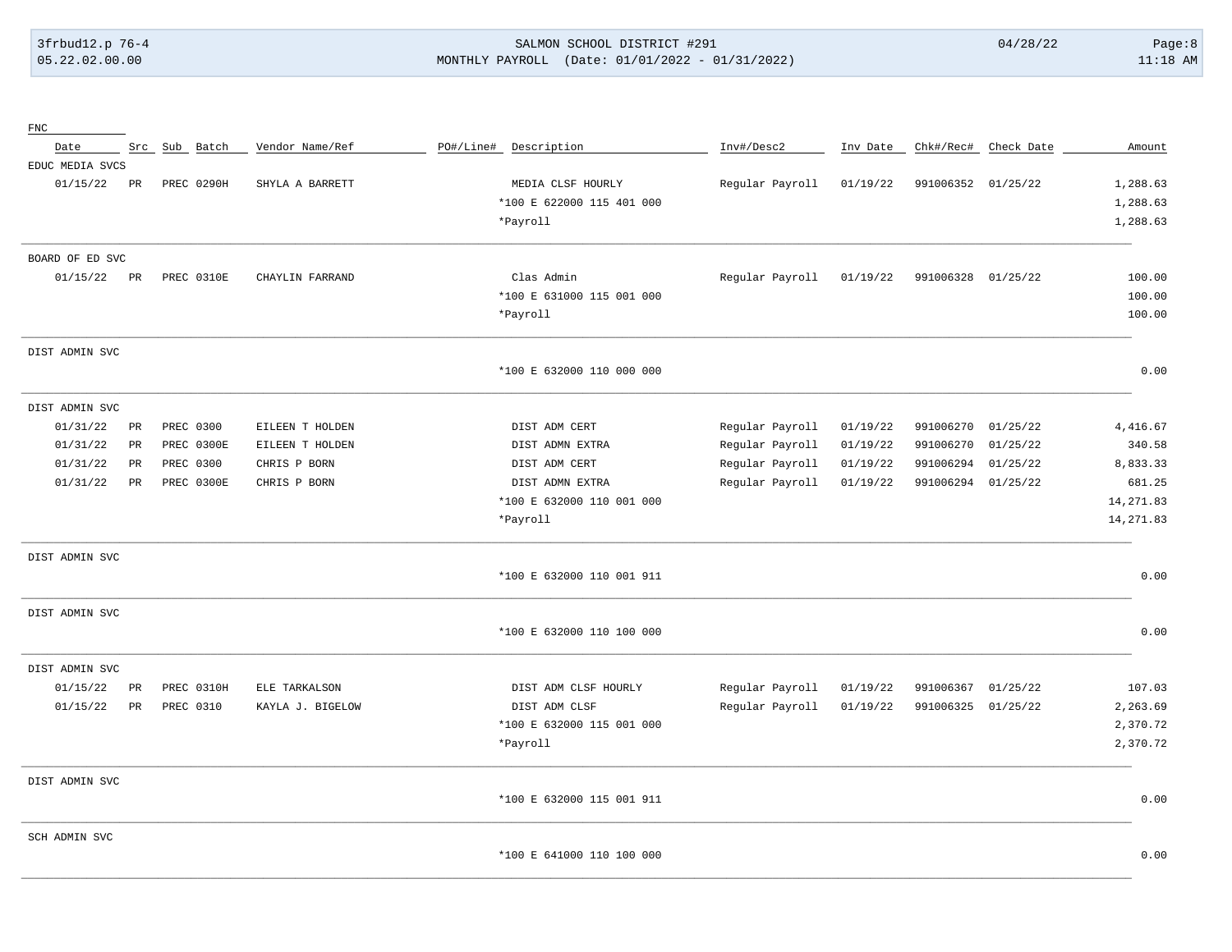FNC

## 3frbud12.p 76-4 SALMON SCHOOL DISTRICT #291 04/28/22 Page:8 05.22.02.00.00 MONTHLY PAYROLL (Date: 01/01/2022 - 01/31/2022) 11:18 AM

| Date            |             | Src Sub Batch |            | Vendor Name/Ref  | PO#/Line# | Description               | Inv#/Desc2      | Inv Date | Chk#/Rec#          | Check Date | Amount     |
|-----------------|-------------|---------------|------------|------------------|-----------|---------------------------|-----------------|----------|--------------------|------------|------------|
| EDUC MEDIA SVCS |             |               |            |                  |           |                           |                 |          |                    |            |            |
| 01/15/22        | PR          |               | PREC 0290H | SHYLA A BARRETT  |           | MEDIA CLSF HOURLY         | Regular Payroll | 01/19/22 | 991006352          | 01/25/22   | 1,288.63   |
|                 |             |               |            |                  |           | *100 E 622000 115 401 000 |                 |          |                    |            | 1,288.63   |
|                 |             |               |            |                  |           | *Payroll                  |                 |          |                    |            | 1,288.63   |
| BOARD OF ED SVC |             |               |            |                  |           |                           |                 |          |                    |            |            |
| 01/15/22        | PR          |               | PREC 0310E | CHAYLIN FARRAND  |           | Clas Admin                | Regular Payroll | 01/19/22 | 991006328 01/25/22 |            | 100.00     |
|                 |             |               |            |                  |           | *100 E 631000 115 001 000 |                 |          |                    |            | 100.00     |
|                 |             |               |            |                  |           | *Payroll                  |                 |          |                    |            | 100.00     |
| DIST ADMIN SVC  |             |               |            |                  |           |                           |                 |          |                    |            |            |
|                 |             |               |            |                  |           | *100 E 632000 110 000 000 |                 |          |                    |            | 0.00       |
| DIST ADMIN SVC  |             |               |            |                  |           |                           |                 |          |                    |            |            |
| 01/31/22        | PR          | PREC 0300     |            | EILEEN T HOLDEN  |           | DIST ADM CERT             | Regular Payroll | 01/19/22 | 991006270          | 01/25/22   | 4,416.67   |
| 01/31/22        | $_{\rm PR}$ |               | PREC 0300E | EILEEN T HOLDEN  |           | DIST ADMN EXTRA           | Regular Payroll | 01/19/22 | 991006270          | 01/25/22   | 340.58     |
| 01/31/22        | PR          | PREC 0300     |            | CHRIS P BORN     |           | DIST ADM CERT             | Regular Payroll | 01/19/22 | 991006294          | 01/25/22   | 8,833.33   |
| 01/31/22        | PR          |               | PREC 0300E | CHRIS P BORN     |           | DIST ADMN EXTRA           | Regular Payroll | 01/19/22 | 991006294          | 01/25/22   | 681.25     |
|                 |             |               |            |                  |           | *100 E 632000 110 001 000 |                 |          |                    |            | 14, 271.83 |
|                 |             |               |            |                  |           | *Payroll                  |                 |          |                    |            | 14, 271.83 |
| DIST ADMIN SVC  |             |               |            |                  |           |                           |                 |          |                    |            |            |
|                 |             |               |            |                  |           | *100 E 632000 110 001 911 |                 |          |                    |            | 0.00       |
| DIST ADMIN SVC  |             |               |            |                  |           |                           |                 |          |                    |            |            |
|                 |             |               |            |                  |           | *100 E 632000 110 100 000 |                 |          |                    |            | 0.00       |
| DIST ADMIN SVC  |             |               |            |                  |           |                           |                 |          |                    |            |            |
| 01/15/22        | PR          |               | PREC 0310H | ELE TARKALSON    |           | DIST ADM CLSF HOURLY      | Regular Payroll | 01/19/22 | 991006367          | 01/25/22   | 107.03     |
| 01/15/22        | PR          | PREC 0310     |            | KAYLA J. BIGELOW |           | DIST ADM CLSF             | Regular Payroll | 01/19/22 | 991006325          | 01/25/22   | 2,263.69   |
|                 |             |               |            |                  |           | *100 E 632000 115 001 000 |                 |          |                    |            | 2,370.72   |
|                 |             |               |            |                  |           | *Payroll                  |                 |          |                    |            | 2,370.72   |
| DIST ADMIN SVC  |             |               |            |                  |           |                           |                 |          |                    |            |            |
|                 |             |               |            |                  |           | *100 E 632000 115 001 911 |                 |          |                    |            | 0.00       |
| SCH ADMIN SVC   |             |               |            |                  |           |                           |                 |          |                    |            |            |
|                 |             |               |            |                  |           | *100 E 641000 110 100 000 |                 |          |                    |            | 0.00       |

\_\_\_\_\_\_\_\_\_\_\_\_\_\_\_\_\_\_\_\_\_\_\_\_\_\_\_\_\_\_\_\_\_\_\_\_\_\_\_\_\_\_\_\_\_\_\_\_\_\_\_\_\_\_\_\_\_\_\_\_\_\_\_\_\_\_\_\_\_\_\_\_\_\_\_\_\_\_\_\_\_\_\_\_\_\_\_\_\_\_\_\_\_\_\_\_\_\_\_\_\_\_\_\_\_\_\_\_\_\_\_\_\_\_\_\_\_\_\_\_\_\_\_\_\_\_\_\_\_\_\_\_\_\_\_\_\_\_\_\_\_\_\_\_\_\_\_\_\_\_\_\_\_\_\_\_\_\_\_\_\_\_\_\_\_\_\_\_\_\_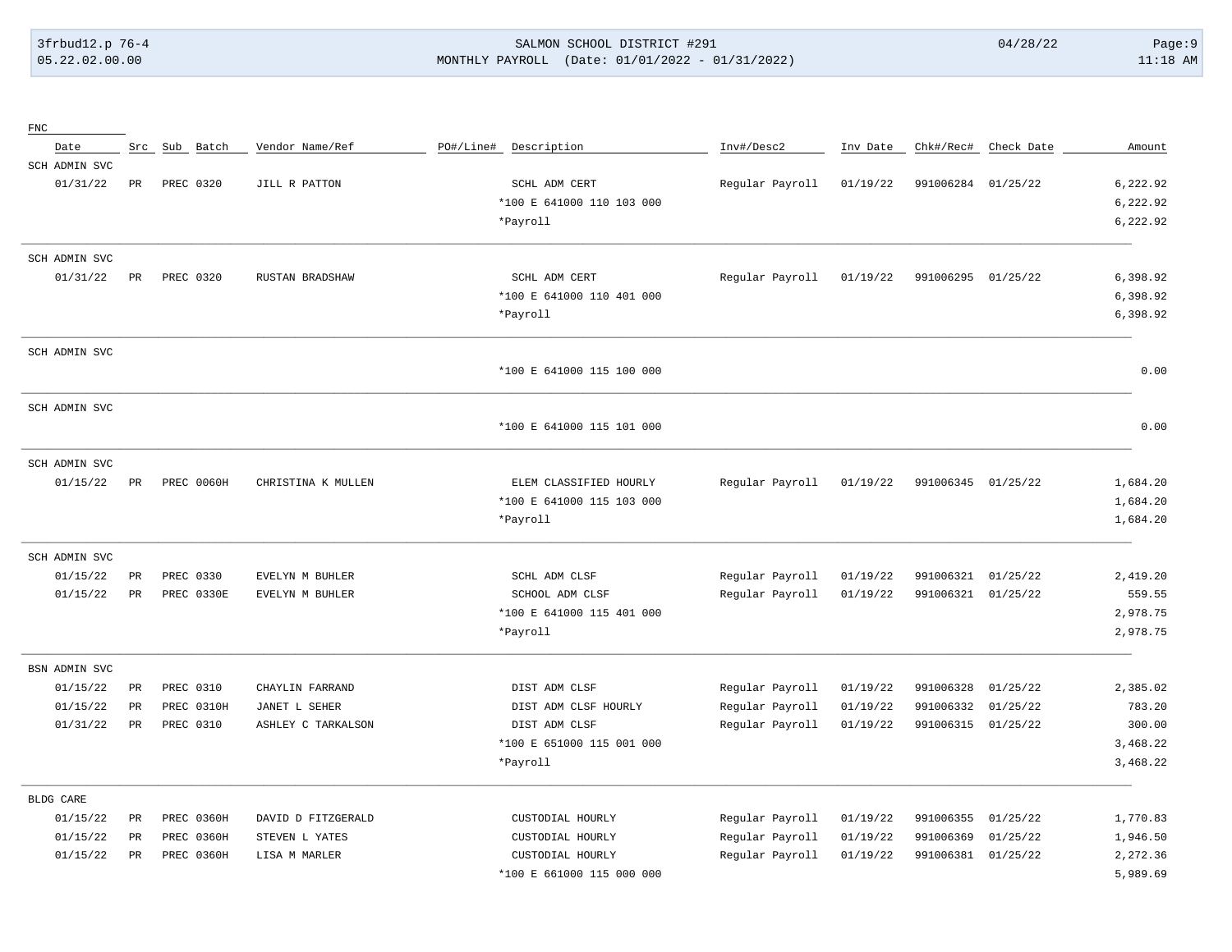## 3frbud12.p 76-4 SALMON SCHOOL DISTRICT #291 04/28/22 Page:9 05.22.02.00.00 MONTHLY PAYROLL (Date: 01/01/2022 - 01/31/2022) 11:18 AM

| ${\rm FNC}$      |                 |               |                    |           |                           |                 |          |                    |                      |          |
|------------------|-----------------|---------------|--------------------|-----------|---------------------------|-----------------|----------|--------------------|----------------------|----------|
| Date             |                 | Src Sub Batch | Vendor Name/Ref    | PO#/Line# | Description               | Inv#/Desc2      | Inv Date |                    | Chk#/Rec# Check Date | Amount   |
| SCH ADMIN SVC    |                 |               |                    |           |                           |                 |          |                    |                      |          |
| 01/31/22         | PR              | PREC 0320     | JILL R PATTON      |           | SCHL ADM CERT             | Regular Payroll | 01/19/22 | 991006284 01/25/22 |                      | 6,222.92 |
|                  |                 |               |                    |           | *100 E 641000 110 103 000 |                 |          |                    |                      | 6,222.92 |
|                  |                 |               |                    |           | *Payroll                  |                 |          |                    |                      | 6,222.92 |
| SCH ADMIN SVC    |                 |               |                    |           |                           |                 |          |                    |                      |          |
| 01/31/22         | PR              | PREC 0320     | RUSTAN BRADSHAW    |           | SCHL ADM CERT             | Regular Payroll | 01/19/22 | 991006295 01/25/22 |                      | 6,398.92 |
|                  |                 |               |                    |           | *100 E 641000 110 401 000 |                 |          |                    |                      | 6,398.92 |
|                  |                 |               |                    |           | *Payroll                  |                 |          |                    |                      | 6,398.92 |
| SCH ADMIN SVC    |                 |               |                    |           |                           |                 |          |                    |                      |          |
|                  |                 |               |                    |           | *100 E 641000 115 100 000 |                 |          |                    |                      | 0.00     |
| SCH ADMIN SVC    |                 |               |                    |           |                           |                 |          |                    |                      |          |
|                  |                 |               |                    |           | *100 E 641000 115 101 000 |                 |          |                    |                      | 0.00     |
| SCH ADMIN SVC    |                 |               |                    |           |                           |                 |          |                    |                      |          |
| 01/15/22         | PR              | PREC 0060H    | CHRISTINA K MULLEN |           | ELEM CLASSIFIED HOURLY    | Regular Payroll | 01/19/22 | 991006345 01/25/22 |                      | 1,684.20 |
|                  |                 |               |                    |           | *100 E 641000 115 103 000 |                 |          |                    |                      | 1,684.20 |
|                  |                 |               |                    |           | *Payroll                  |                 |          |                    |                      | 1,684.20 |
| SCH ADMIN SVC    |                 |               |                    |           |                           |                 |          |                    |                      |          |
| 01/15/22         | PR              | PREC 0330     | EVELYN M BUHLER    |           | SCHL ADM CLSF             | Regular Payroll | 01/19/22 | 991006321          | 01/25/22             | 2,419.20 |
| 01/15/22         | $_{\rm PR}$     | PREC 0330E    | EVELYN M BUHLER    |           | SCHOOL ADM CLSF           | Regular Payroll | 01/19/22 | 991006321          | 01/25/22             | 559.55   |
|                  |                 |               |                    |           | *100 E 641000 115 401 000 |                 |          |                    |                      | 2,978.75 |
|                  |                 |               |                    |           | *Payroll                  |                 |          |                    |                      | 2,978.75 |
| BSN ADMIN SVC    |                 |               |                    |           |                           |                 |          |                    |                      |          |
| 01/15/22         | $_{\rm PR}$     | PREC 0310     | CHAYLIN FARRAND    |           | DIST ADM CLSF             | Regular Payroll | 01/19/22 | 991006328          | 01/25/22             | 2,385.02 |
| 01/15/22         | PR              | PREC 0310H    | JANET L SEHER      |           | DIST ADM CLSF HOURLY      | Regular Payroll | 01/19/22 | 991006332          | 01/25/22             | 783.20   |
| 01/31/22         | $\mbox{\sf PR}$ | PREC 0310     | ASHLEY C TARKALSON |           | DIST ADM CLSF             | Regular Payroll | 01/19/22 | 991006315          | 01/25/22             | 300.00   |
|                  |                 |               |                    |           | *100 E 651000 115 001 000 |                 |          |                    |                      | 3,468.22 |
|                  |                 |               |                    |           | *Payroll                  |                 |          |                    |                      | 3,468.22 |
| <b>BLDG CARE</b> |                 |               |                    |           |                           |                 |          |                    |                      |          |
| 01/15/22         | PR              | PREC 0360H    | DAVID D FITZGERALD |           | CUSTODIAL HOURLY          | Regular Payroll | 01/19/22 | 991006355          | 01/25/22             | 1,770.83 |
| 01/15/22         | PR              | PREC 0360H    | STEVEN L YATES     |           | CUSTODIAL HOURLY          | Regular Payroll | 01/19/22 | 991006369          | 01/25/22             | 1,946.50 |
| 01/15/22         | PR              | PREC 0360H    | LISA M MARLER      |           | CUSTODIAL HOURLY          | Regular Payroll | 01/19/22 | 991006381          | 01/25/22             | 2,272.36 |
|                  |                 |               |                    |           | *100 E 661000 115 000 000 |                 |          |                    |                      | 5,989.69 |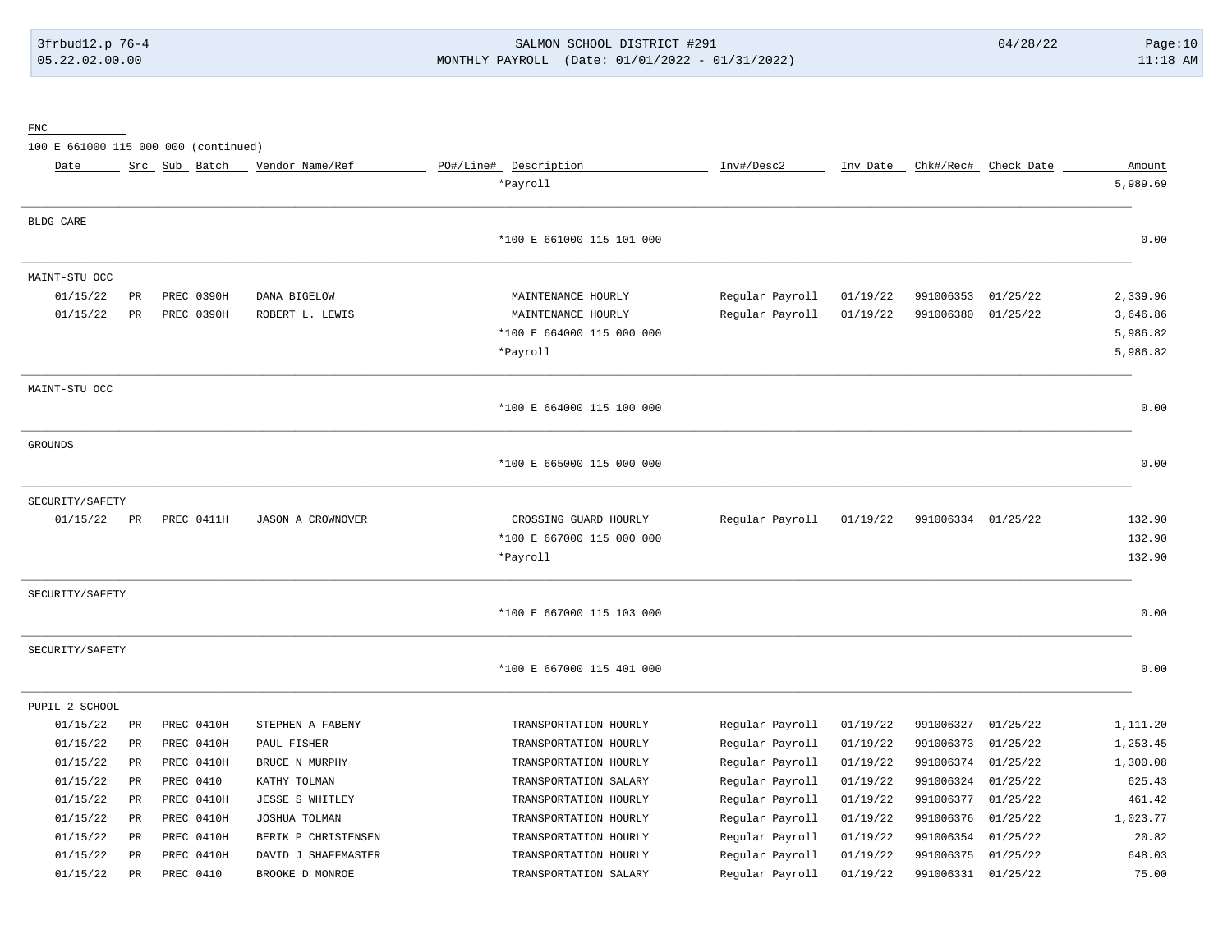# 3frbud12.p 76-4 SALMON SCHOOL DISTRICT #291 04/28/22 Page:10 05.22.02.00.00 MONTHLY PAYROLL (Date: 01/01/2022 - 01/31/2022) 11:18 AM

FNC

100 E 661000 115 000 000 (continued)

| Date             |                 | Src Sub Batch | Vendor Name/Ref          | PO#/Line# Description     | Inv#/Desc2      | Inv Date |           | Chk#/Rec# Check Date | Amount   |
|------------------|-----------------|---------------|--------------------------|---------------------------|-----------------|----------|-----------|----------------------|----------|
|                  |                 |               |                          | *Payroll                  |                 |          |           |                      | 5,989.69 |
| <b>BLDG CARE</b> |                 |               |                          |                           |                 |          |           |                      |          |
|                  |                 |               |                          | *100 E 661000 115 101 000 |                 |          |           |                      | 0.00     |
| MAINT-STU OCC    |                 |               |                          |                           |                 |          |           |                      |          |
| 01/15/22         | PR              | PREC 0390H    | DANA BIGELOW             | MAINTENANCE HOURLY        | Regular Payroll | 01/19/22 | 991006353 | 01/25/22             | 2,339.96 |
| 01/15/22         | $_{\rm PR}$     | PREC 0390H    | ROBERT L. LEWIS          | MAINTENANCE HOURLY        | Regular Payroll | 01/19/22 | 991006380 | 01/25/22             | 3,646.86 |
|                  |                 |               |                          | *100 E 664000 115 000 000 |                 |          |           |                      | 5,986.82 |
|                  |                 |               |                          | *Payroll                  |                 |          |           |                      | 5,986.82 |
| MAINT-STU OCC    |                 |               |                          |                           |                 |          |           |                      |          |
|                  |                 |               |                          | *100 E 664000 115 100 000 |                 |          |           |                      | 0.00     |
| <b>GROUNDS</b>   |                 |               |                          |                           |                 |          |           |                      |          |
|                  |                 |               |                          | *100 E 665000 115 000 000 |                 |          |           |                      | 0.00     |
| SECURITY/SAFETY  |                 |               |                          |                           |                 |          |           |                      |          |
| 01/15/22         | PR              | PREC 0411H    | <b>JASON A CROWNOVER</b> | CROSSING GUARD HOURLY     | Regular Payroll | 01/19/22 | 991006334 | 01/25/22             | 132.90   |
|                  |                 |               |                          | *100 E 667000 115 000 000 |                 |          |           |                      | 132.90   |
|                  |                 |               |                          | *Payroll                  |                 |          |           |                      | 132.90   |
| SECURITY/SAFETY  |                 |               |                          |                           |                 |          |           |                      |          |
|                  |                 |               |                          | *100 E 667000 115 103 000 |                 |          |           |                      | 0.00     |
| SECURITY/SAFETY  |                 |               |                          |                           |                 |          |           |                      |          |
|                  |                 |               |                          | *100 E 667000 115 401 000 |                 |          |           |                      | 0.00     |
| PUPIL 2 SCHOOL   |                 |               |                          |                           |                 |          |           |                      |          |
| 01/15/22         | $\mbox{\sf PR}$ | PREC 0410H    | STEPHEN A FABENY         | TRANSPORTATION HOURLY     | Regular Payroll | 01/19/22 | 991006327 | 01/25/22             | 1,111.20 |
| 01/15/22         | $_{\rm PR}$     | PREC 0410H    | PAUL FISHER              | TRANSPORTATION HOURLY     | Regular Payroll | 01/19/22 | 991006373 | 01/25/22             | 1,253.45 |
| 01/15/22         | PR              | PREC 0410H    | BRUCE N MURPHY           | TRANSPORTATION HOURLY     | Regular Payroll | 01/19/22 | 991006374 | 01/25/22             | 1,300.08 |
| 01/15/22         | $_{\rm PR}$     | PREC 0410     | KATHY TOLMAN             | TRANSPORTATION SALARY     | Regular Payroll | 01/19/22 | 991006324 | 01/25/22             | 625.43   |
| 01/15/22         | PR              | PREC 0410H    | <b>JESSE S WHITLEY</b>   | TRANSPORTATION HOURLY     | Regular Payroll | 01/19/22 | 991006377 | 01/25/22             | 461.42   |
| 01/15/22         | PR              | PREC 0410H    | JOSHUA TOLMAN            | TRANSPORTATION HOURLY     | Regular Payroll | 01/19/22 | 991006376 | 01/25/22             | 1,023.77 |
| 01/15/22         | PR              | PREC 0410H    | BERIK P CHRISTENSEN      | TRANSPORTATION HOURLY     | Regular Payroll | 01/19/22 | 991006354 | 01/25/22             | 20.82    |
| 01/15/22         | $_{\rm PR}$     | PREC 0410H    | DAVID J SHAFFMASTER      | TRANSPORTATION HOURLY     | Regular Payroll | 01/19/22 | 991006375 | 01/25/22             | 648.03   |
| 01/15/22         | $_{\rm PR}$     | PREC 0410     | BROOKE D MONROE          | TRANSPORTATION SALARY     | Regular Payroll | 01/19/22 | 991006331 | 01/25/22             | 75.00    |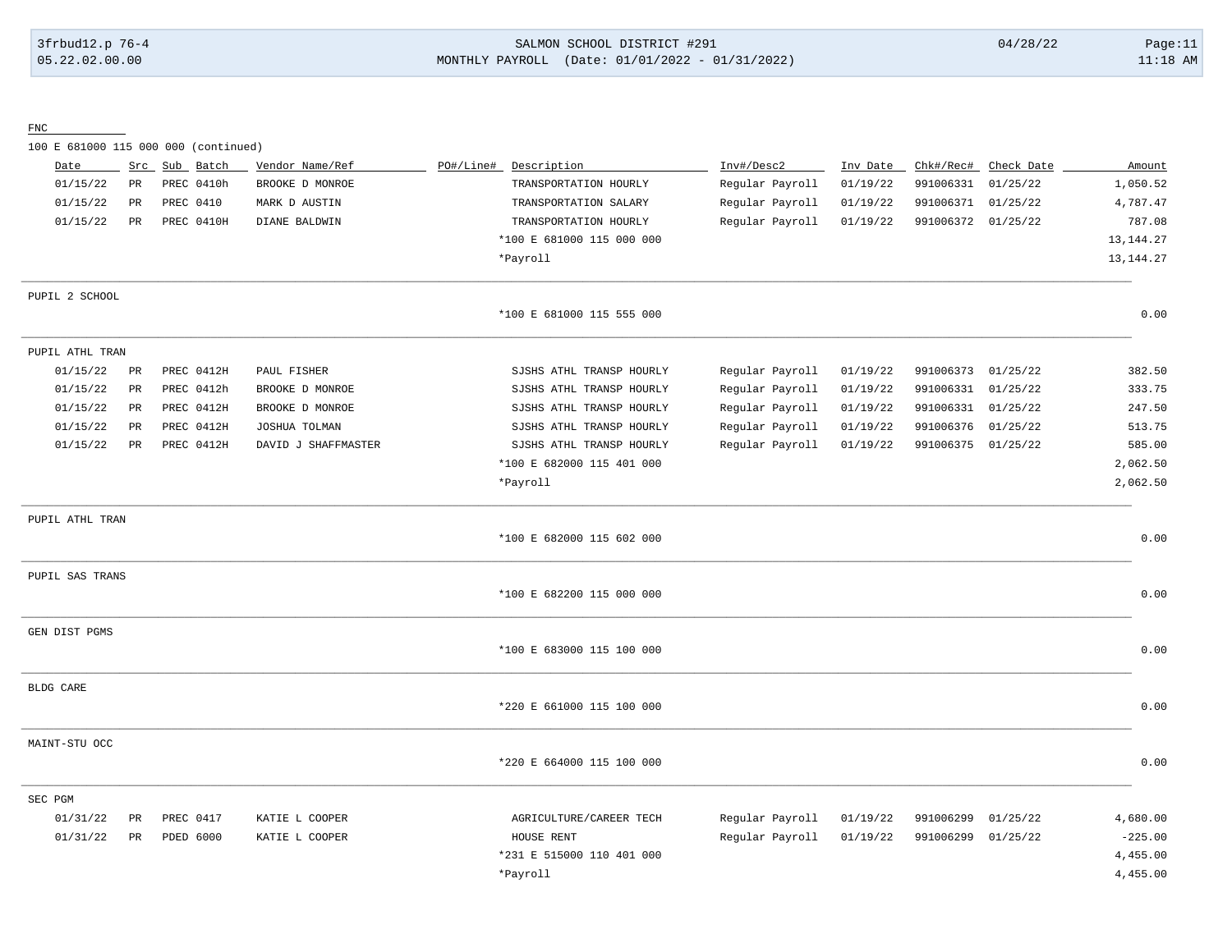## 3frbud12.p 76-4 SALMON SCHOOL DISTRICT #291 04/28/22 Page:11 05.22.02.00.00 MONTHLY PAYROLL (Date: 01/01/2022 - 01/31/2022) 11:18 AM

FNC

100 E 681000 115 000 000 (continued)

| Date            | Src         | Sub Batch  | Vendor Name/Ref     | PO#/Line# | Description               | Inv#/Desc2      | Inv Date | Chk#/Rec# | Check Date | Amount      |
|-----------------|-------------|------------|---------------------|-----------|---------------------------|-----------------|----------|-----------|------------|-------------|
| 01/15/22        | PR          | PREC 0410h | BROOKE D MONROE     |           | TRANSPORTATION HOURLY     | Regular Payroll | 01/19/22 | 991006331 | 01/25/22   | 1,050.52    |
| 01/15/22        | PR          | PREC 0410  | MARK D AUSTIN       |           | TRANSPORTATION SALARY     | Regular Payroll | 01/19/22 | 991006371 | 01/25/22   | 4,787.47    |
| 01/15/22        | PR          | PREC 0410H | DIANE BALDWIN       |           | TRANSPORTATION HOURLY     | Regular Payroll | 01/19/22 | 991006372 | 01/25/22   | 787.08      |
|                 |             |            |                     |           | *100 E 681000 115 000 000 |                 |          |           |            | 13, 144. 27 |
|                 |             |            |                     |           | *Payroll                  |                 |          |           |            | 13, 144. 27 |
| PUPIL 2 SCHOOL  |             |            |                     |           |                           |                 |          |           |            |             |
|                 |             |            |                     |           | *100 E 681000 115 555 000 |                 |          |           |            | 0.00        |
| PUPIL ATHL TRAN |             |            |                     |           |                           |                 |          |           |            |             |
| 01/15/22        | $_{\rm PR}$ | PREC 0412H | PAUL FISHER         |           | SJSHS ATHL TRANSP HOURLY  | Regular Payroll | 01/19/22 | 991006373 | 01/25/22   | 382.50      |
| 01/15/22        | PR          | PREC 0412h | BROOKE D MONROE     |           | SJSHS ATHL TRANSP HOURLY  | Regular Payroll | 01/19/22 | 991006331 | 01/25/22   | 333.75      |
| 01/15/22        | $_{\rm PR}$ | PREC 0412H | BROOKE D MONROE     |           | SJSHS ATHL TRANSP HOURLY  | Regular Payroll | 01/19/22 | 991006331 | 01/25/22   | 247.50      |
| 01/15/22        | PR          | PREC 0412H | JOSHUA TOLMAN       |           | SJSHS ATHL TRANSP HOURLY  | Regular Payroll | 01/19/22 | 991006376 | 01/25/22   | 513.75      |
| 01/15/22        | $_{\rm PR}$ | PREC 0412H | DAVID J SHAFFMASTER |           | SJSHS ATHL TRANSP HOURLY  | Regular Payroll | 01/19/22 | 991006375 | 01/25/22   | 585.00      |
|                 |             |            |                     |           | *100 E 682000 115 401 000 |                 |          |           |            | 2,062.50    |
|                 |             |            |                     |           | *Payroll                  |                 |          |           |            | 2,062.50    |
| PUPIL ATHL TRAN |             |            |                     |           |                           |                 |          |           |            |             |
|                 |             |            |                     |           | *100 E 682000 115 602 000 |                 |          |           |            | 0.00        |
| PUPIL SAS TRANS |             |            |                     |           |                           |                 |          |           |            |             |
|                 |             |            |                     |           | *100 E 682200 115 000 000 |                 |          |           |            | 0.00        |
| GEN DIST PGMS   |             |            |                     |           |                           |                 |          |           |            |             |
|                 |             |            |                     |           | *100 E 683000 115 100 000 |                 |          |           |            | 0.00        |
| BLDG CARE       |             |            |                     |           |                           |                 |          |           |            |             |
|                 |             |            |                     |           | *220 E 661000 115 100 000 |                 |          |           |            | 0.00        |
| MAINT-STU OCC   |             |            |                     |           |                           |                 |          |           |            |             |
|                 |             |            |                     |           | *220 E 664000 115 100 000 |                 |          |           |            | 0.00        |
| SEC PGM         |             |            |                     |           |                           |                 |          |           |            |             |
| 01/31/22        | PR          | PREC 0417  | KATIE L COOPER      |           | AGRICULTURE/CAREER TECH   | Regular Payroll | 01/19/22 | 991006299 | 01/25/22   | 4,680.00    |
| 01/31/22        | PR          | PDED 6000  | KATIE L COOPER      |           | HOUSE RENT                | Regular Payroll | 01/19/22 | 991006299 | 01/25/22   | $-225.00$   |
|                 |             |            |                     |           | *231 E 515000 110 401 000 |                 |          |           |            | 4,455.00    |
|                 |             |            |                     |           | *Payroll                  |                 |          |           |            | 4,455.00    |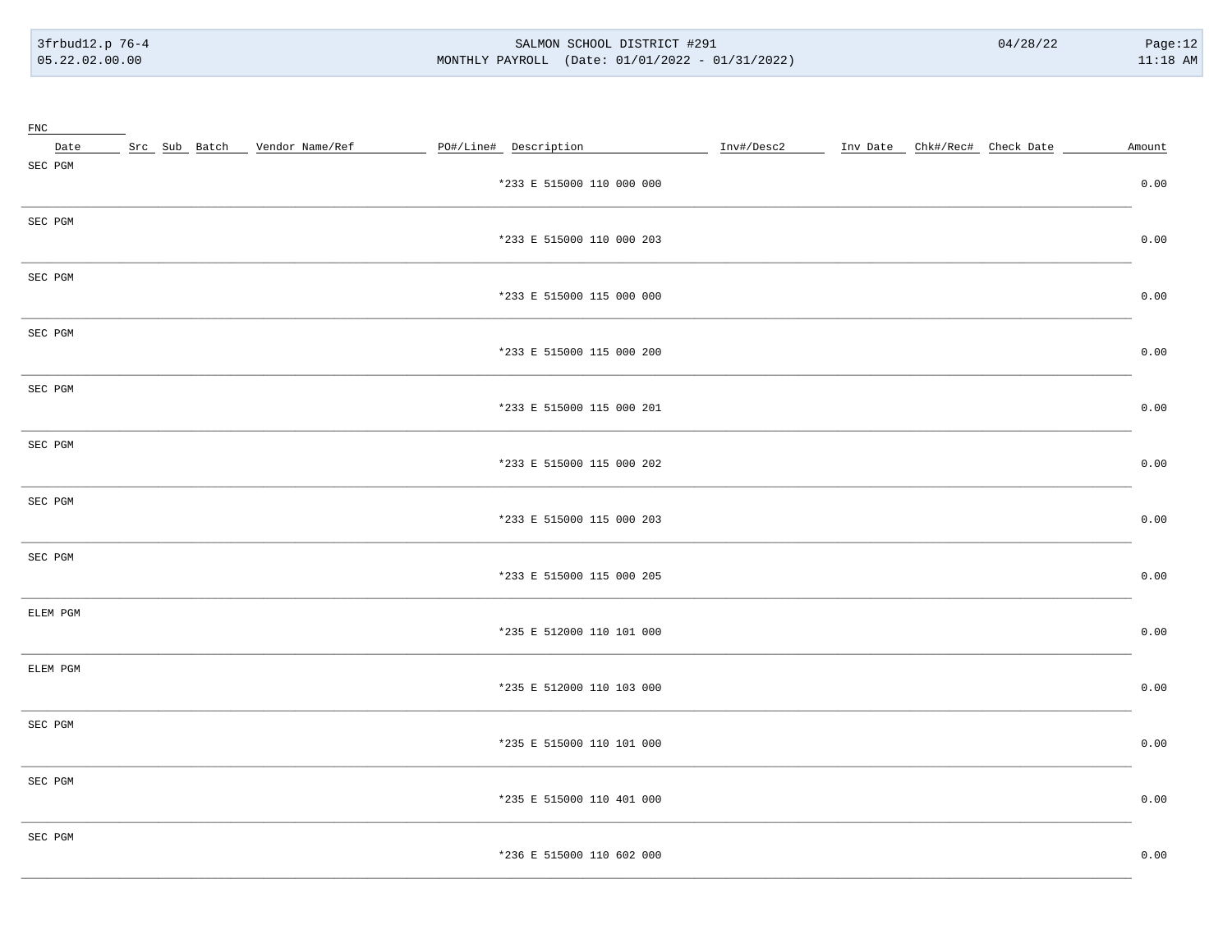#### SALMON SCHOOL DISTRICT #291 MONTHLY PAYROLL (Date: 01/01/2022 - 01/31/2022)

| FNC      |                                 |                           |  |        |
|----------|---------------------------------|---------------------------|--|--------|
| Date     | Src Sub Batch _ Vendor Name/Ref | PO#/Line# Description     |  | Amount |
| SEC PGM  |                                 | *233 E 515000 110 000 000 |  | 0.00   |
| SEC PGM  |                                 | *233 E 515000 110 000 203 |  | 0.00   |
| SEC PGM  |                                 | *233 E 515000 115 000 000 |  | 0.00   |
| SEC PGM  |                                 | *233 E 515000 115 000 200 |  | 0.00   |
| SEC PGM  |                                 | *233 E 515000 115 000 201 |  | 0.00   |
| SEC PGM  |                                 | *233 E 515000 115 000 202 |  | 0.00   |
| SEC PGM  |                                 | *233 E 515000 115 000 203 |  | 0.00   |
| SEC PGM  |                                 | *233 E 515000 115 000 205 |  | 0.00   |
| ELEM PGM |                                 | *235 E 512000 110 101 000 |  | 0.00   |
| ELEM PGM |                                 | *235 E 512000 110 103 000 |  | 0.00   |
| SEC PGM  |                                 | *235 E 515000 110 101 000 |  | 0.00   |
| SEC PGM  |                                 | *235 E 515000 110 401 000 |  | 0.00   |
| SEC PGM  |                                 | *236 E 515000 110 602 000 |  | 0.00   |
|          |                                 |                           |  |        |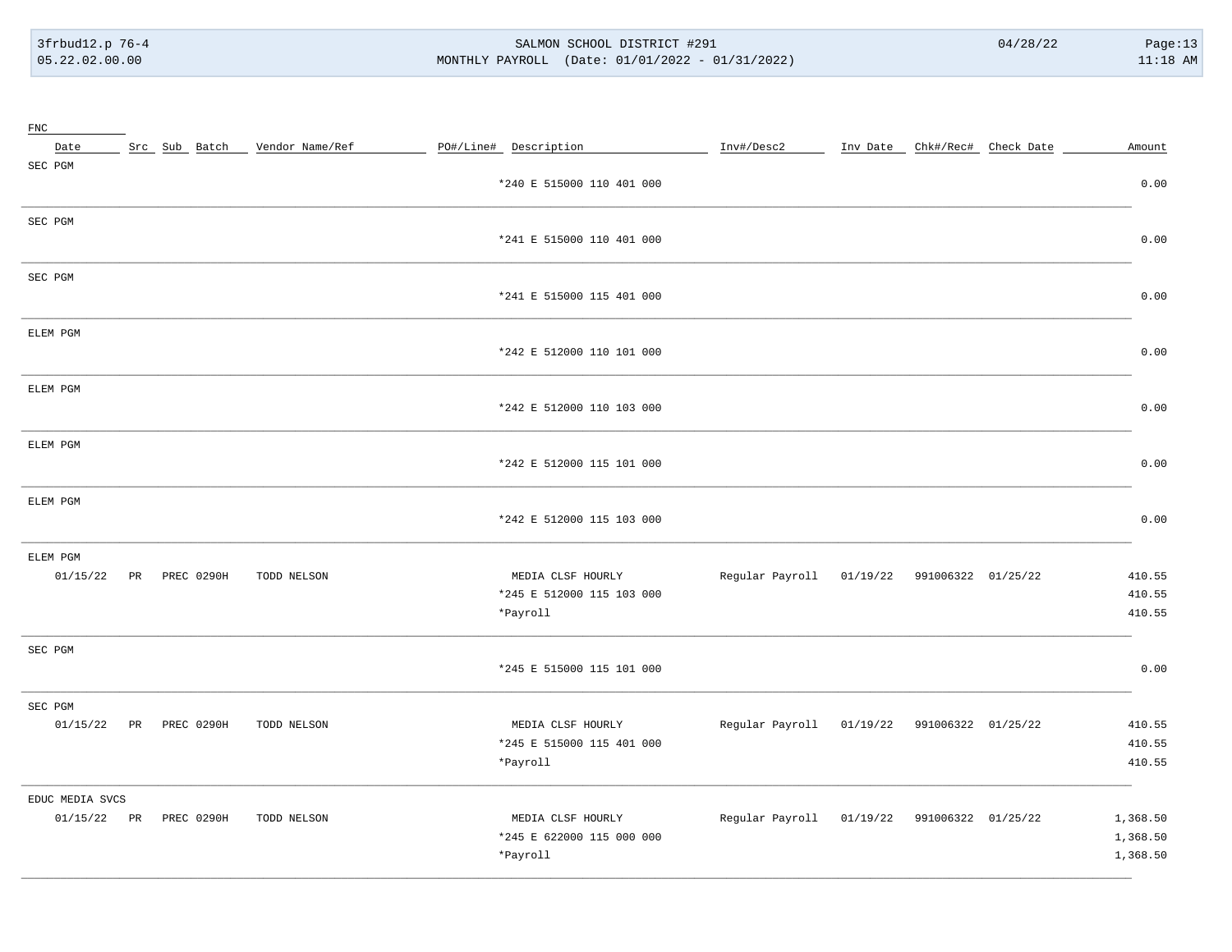#### SALMON SCHOOL DISTRICT #291 MONTHLY PAYROLL (Date: 01/01/2022 - 01/31/2022)

| ${\rm FNC}$                               |  |               |                 |                                                            |                                             |  |                               |                                  |
|-------------------------------------------|--|---------------|-----------------|------------------------------------------------------------|---------------------------------------------|--|-------------------------------|----------------------------------|
| Date                                      |  | Src Sub Batch | Vendor Name/Ref | PO#/Line# Description                                      | Inv#/Desc2                                  |  | Inv Date Chk#/Rec# Check Date | Amount                           |
| SEC PGM                                   |  |               |                 | *240 E 515000 110 401 000                                  |                                             |  |                               | 0.00                             |
| SEC PGM                                   |  |               |                 | *241 E 515000 110 401 000                                  |                                             |  |                               | 0.00                             |
| SEC PGM                                   |  |               |                 | *241 E 515000 115 401 000                                  |                                             |  |                               | 0.00                             |
| ELEM PGM                                  |  |               |                 | *242 E 512000 110 101 000                                  |                                             |  |                               | 0.00                             |
| ELEM PGM                                  |  |               |                 | *242 E 512000 110 103 000                                  |                                             |  |                               | 0.00                             |
| ELEM PGM                                  |  |               |                 | *242 E 512000 115 101 000                                  |                                             |  |                               | 0.00                             |
| ELEM PGM                                  |  |               |                 | *242 E 512000 115 103 000                                  |                                             |  |                               | 0.00                             |
| ELEM PGM<br>01/15/22                      |  | PR PREC 0290H | TODD NELSON     | MEDIA CLSF HOURLY<br>*245 E 512000 115 103 000<br>*Payroll | Regular Payroll 01/19/22 991006322 01/25/22 |  |                               | 410.55<br>410.55<br>410.55       |
| SEC PGM                                   |  |               |                 | *245 E 515000 115 101 000                                  |                                             |  |                               | 0.00                             |
| SEC PGM<br>01/15/22                       |  | PR PREC 0290H | TODD NELSON     | MEDIA CLSF HOURLY<br>*245 E 515000 115 401 000<br>*Payroll | Regular Payroll 01/19/22 991006322 01/25/22 |  |                               | 410.55<br>410.55<br>410.55       |
| EDUC MEDIA SVCS<br>01/15/22 PR PREC 0290H |  |               | TODD NELSON     | MEDIA CLSF HOURLY<br>*245 E 622000 115 000 000<br>*Payroll | Regular Payroll 01/19/22 991006322 01/25/22 |  |                               | 1,368.50<br>1,368.50<br>1,368.50 |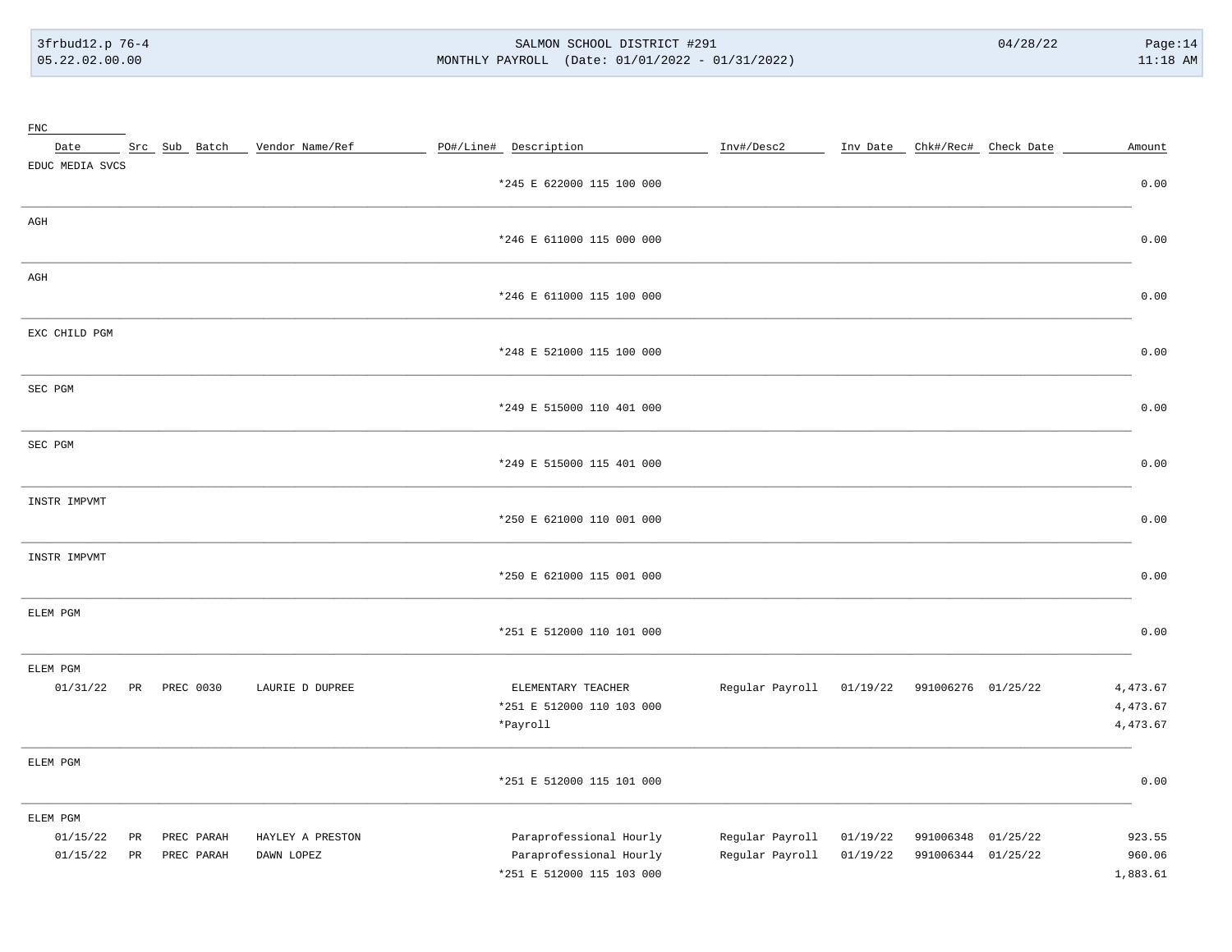$\sim$ 

#### SALMON SCHOOL DISTRICT #291 MONTHLY PAYROLL (Date: 01/01/2022 - 01/31/2022)

| FNC<br>Date                                  |                          | Src Sub Batch _ Vendor Name/Ref | PO#/Line# Description                                                           | Inv#/Desc2<br>___ Inv Date __ Chk#/Rec# __ Check Date __                                               | Amount                           |
|----------------------------------------------|--------------------------|---------------------------------|---------------------------------------------------------------------------------|--------------------------------------------------------------------------------------------------------|----------------------------------|
| EDUC MEDIA SVCS                              |                          |                                 | *245 E 622000 115 100 000                                                       |                                                                                                        | 0.00                             |
| AGH                                          |                          |                                 | *246 E 611000 115 000 000                                                       |                                                                                                        | 0.00                             |
| AGH                                          |                          |                                 | *246 E 611000 115 100 000                                                       |                                                                                                        | 0.00                             |
| EXC CHILD PGM                                |                          |                                 | *248 E 521000 115 100 000                                                       |                                                                                                        | 0.00                             |
| SEC PGM                                      |                          |                                 | *249 E 515000 110 401 000                                                       |                                                                                                        | 0.00                             |
| SEC PGM                                      |                          |                                 | *249 E 515000 115 401 000                                                       |                                                                                                        | 0.00                             |
| INSTR IMPVMT                                 |                          |                                 | *250 E 621000 110 001 000                                                       |                                                                                                        | 0.00                             |
| INSTR IMPVMT                                 |                          |                                 | *250 E 621000 115 001 000                                                       |                                                                                                        | 0.00                             |
| ELEM PGM                                     |                          |                                 | *251 E 512000 110 101 000                                                       |                                                                                                        | 0.00                             |
| ELEM PGM<br>01/31/22                         | PR PREC 0030             | LAURIE D DUPREE                 | ELEMENTARY TEACHER<br>*251 E 512000 110 103 000<br>*Payroll                     | Regular Payroll 01/19/22 991006276 01/25/22                                                            | 4,473.67<br>4,473.67<br>4,473.67 |
| ELEM PGM                                     |                          |                                 | *251 E 512000 115 101 000                                                       |                                                                                                        | 0.00                             |
| ELEM PGM<br>01/15/22<br>PR<br>01/15/22<br>PR | PREC PARAH<br>PREC PARAH | HAYLEY A PRESTON<br>DAWN LOPEZ  | Paraprofessional Hourly<br>Paraprofessional Hourly<br>*251 E 512000 115 103 000 | Regular Payroll<br>991006348 01/25/22<br>01/19/22<br>Regular Payroll<br>01/19/22<br>991006344 01/25/22 | 923.55<br>960.06<br>1,883.61     |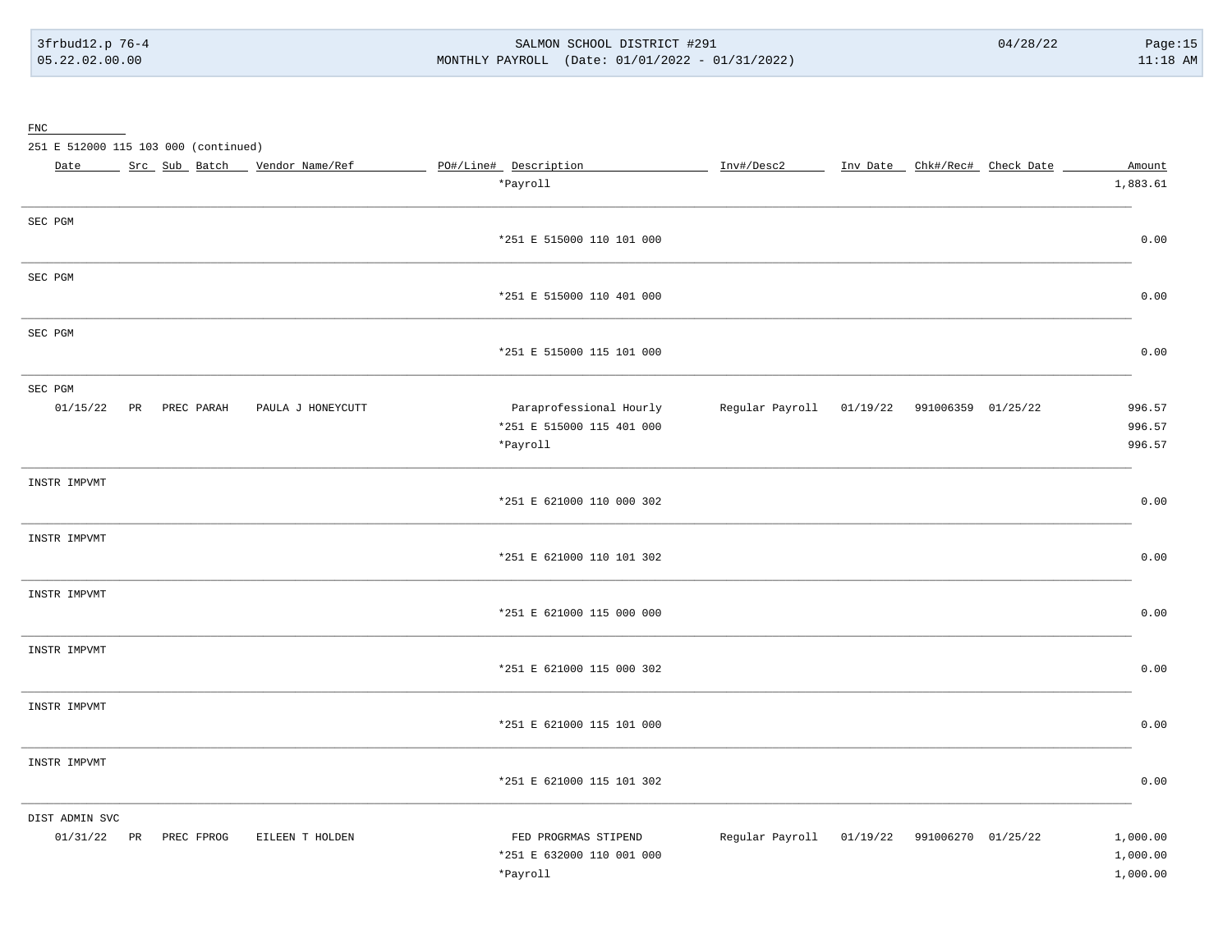#### SALMON SCHOOL DISTRICT #291 MONTHLY PAYROLL (Date: 01/01/2022 - 01/31/2022)

 $\underline{\text{FNC}}$ 

251 E 512000 115 103 000 (continued)

| Date           | Src Sub Batch          | Vendor Name/Ref   | PO#/Line# Description     | Inv#/Desc2 | Inv Date _ Chk#/Rec# Check Date             | Amount   |
|----------------|------------------------|-------------------|---------------------------|------------|---------------------------------------------|----------|
|                |                        |                   | *Payroll                  |            |                                             | 1,883.61 |
| SEC PGM        |                        |                   |                           |            |                                             |          |
|                |                        |                   | *251 E 515000 110 101 000 |            |                                             | 0.00     |
| SEC PGM        |                        |                   |                           |            |                                             |          |
|                |                        |                   | *251 E 515000 110 401 000 |            |                                             | 0.00     |
| SEC PGM        |                        |                   |                           |            |                                             |          |
|                |                        |                   | *251 E 515000 115 101 000 |            |                                             | 0.00     |
| SEC PGM        |                        |                   |                           |            |                                             |          |
| 01/15/22       | PR PREC PARAH          | PAULA J HONEYCUTT | Paraprofessional Hourly   |            | Regular Payroll 01/19/22 991006359 01/25/22 | 996.57   |
|                |                        |                   | *251 E 515000 115 401 000 |            |                                             | 996.57   |
|                |                        |                   | *Payroll                  |            |                                             | 996.57   |
| INSTR IMPVMT   |                        |                   |                           |            |                                             |          |
|                |                        |                   | *251 E 621000 110 000 302 |            |                                             | 0.00     |
| INSTR IMPVMT   |                        |                   |                           |            |                                             |          |
|                |                        |                   | *251 E 621000 110 101 302 |            |                                             | 0.00     |
| INSTR IMPVMT   |                        |                   |                           |            |                                             |          |
|                |                        |                   | *251 E 621000 115 000 000 |            |                                             | 0.00     |
| INSTR IMPVMT   |                        |                   |                           |            |                                             |          |
|                |                        |                   | *251 E 621000 115 000 302 |            |                                             | 0.00     |
| INSTR IMPVMT   |                        |                   |                           |            |                                             |          |
|                |                        |                   | *251 E 621000 115 101 000 |            |                                             | 0.00     |
| INSTR IMPVMT   |                        |                   |                           |            |                                             |          |
|                |                        |                   | *251 E 621000 115 101 302 |            |                                             | 0.00     |
| DIST ADMIN SVC |                        |                   |                           |            |                                             |          |
|                | 01/31/22 PR PREC FPROG | EILEEN T HOLDEN   | FED PROGRMAS STIPEND      |            | Regular Payroll 01/19/22 991006270 01/25/22 | 1,000.00 |
|                |                        |                   | *251 E 632000 110 001 000 |            |                                             | 1,000.00 |
|                |                        |                   | *Payroll                  |            |                                             | 1,000.00 |
|                |                        |                   |                           |            |                                             |          |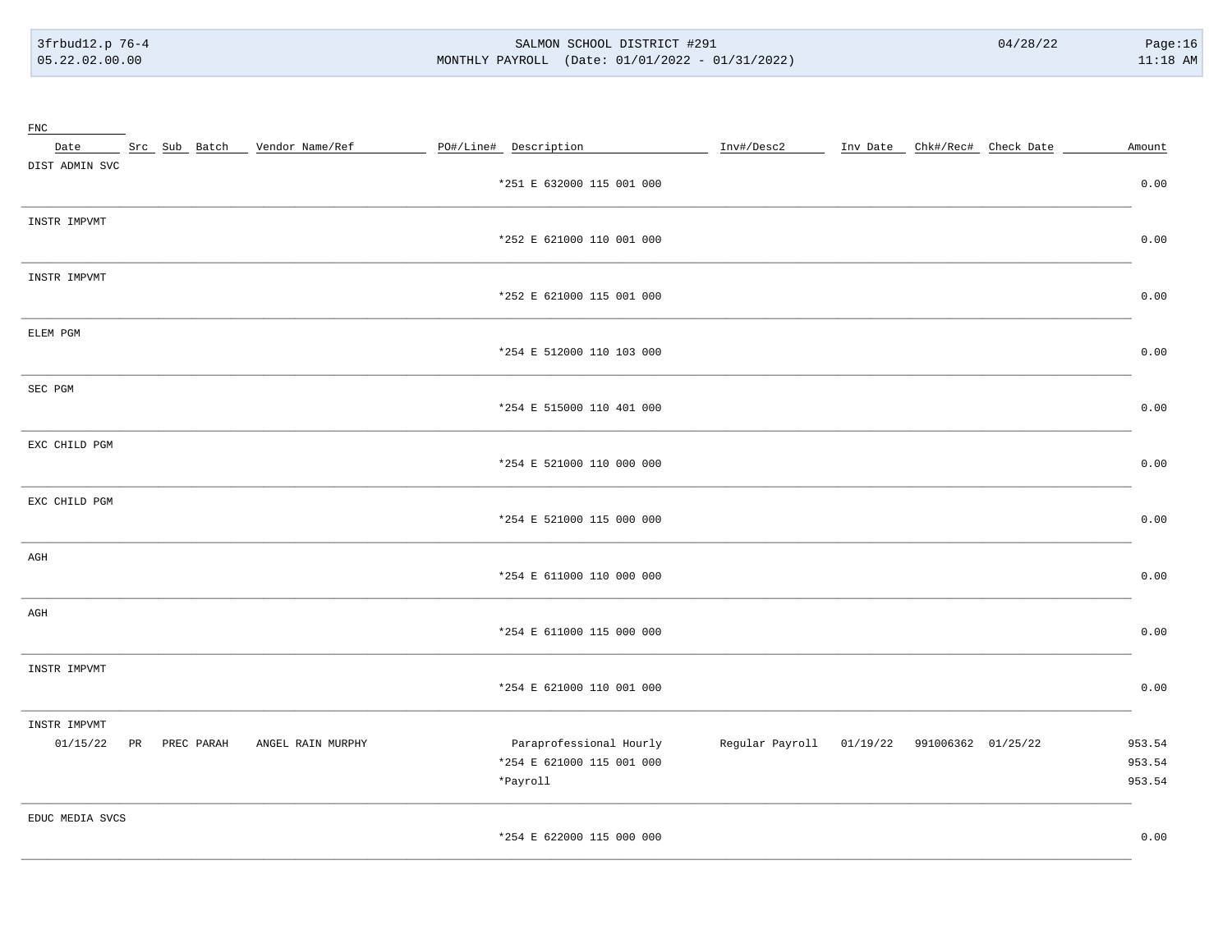#### SALMON SCHOOL DISTRICT #291 MONTHLY PAYROLL (Date: 01/01/2022 - 01/31/2022)

| $_{\rm FNC}$    |               |                   |                           |            |                                             |        |
|-----------------|---------------|-------------------|---------------------------|------------|---------------------------------------------|--------|
| Date            | Src Sub Batch | Vendor Name/Ref   | PO#/Line# Description     | Inv#/Desc2 | Inv Date _ Chk#/Rec# _ Check Date           | Amount |
| DIST ADMIN SVC  |               |                   |                           |            |                                             |        |
|                 |               |                   | *251 E 632000 115 001 000 |            |                                             | 0.00   |
| INSTR IMPVMT    |               |                   |                           |            |                                             |        |
|                 |               |                   | *252 E 621000 110 001 000 |            |                                             | 0.00   |
| INSTR IMPVMT    |               |                   |                           |            |                                             |        |
|                 |               |                   | *252 E 621000 115 001 000 |            |                                             | 0.00   |
|                 |               |                   |                           |            |                                             |        |
| ELEM PGM        |               |                   | *254 E 512000 110 103 000 |            |                                             | 0.00   |
|                 |               |                   |                           |            |                                             |        |
| SEC PGM         |               |                   |                           |            |                                             |        |
|                 |               |                   | *254 E 515000 110 401 000 |            |                                             | 0.00   |
| EXC CHILD PGM   |               |                   |                           |            |                                             |        |
|                 |               |                   | *254 E 521000 110 000 000 |            |                                             | 0.00   |
| EXC CHILD PGM   |               |                   |                           |            |                                             |        |
|                 |               |                   | *254 E 521000 115 000 000 |            |                                             | 0.00   |
| AGH             |               |                   |                           |            |                                             |        |
|                 |               |                   | *254 E 611000 110 000 000 |            |                                             | 0.00   |
| AGH             |               |                   |                           |            |                                             |        |
|                 |               |                   | *254 E 611000 115 000 000 |            |                                             | 0.00   |
|                 |               |                   |                           |            |                                             |        |
| INSTR IMPVMT    |               |                   | *254 E 621000 110 001 000 |            |                                             | 0.00   |
|                 |               |                   |                           |            |                                             |        |
| INSTR IMPVMT    |               |                   |                           |            |                                             |        |
| 01/15/22        | PR PREC PARAH | ANGEL RAIN MURPHY | Paraprofessional Hourly   |            | Regular Payroll 01/19/22 991006362 01/25/22 | 953.54 |
|                 |               |                   | *254 E 621000 115 001 000 |            |                                             | 953.54 |
|                 |               |                   | *Payroll                  |            |                                             | 953.54 |
| EDUC MEDIA SVCS |               |                   |                           |            |                                             |        |
|                 |               |                   | *254 E 622000 115 000 000 |            |                                             | 0.00   |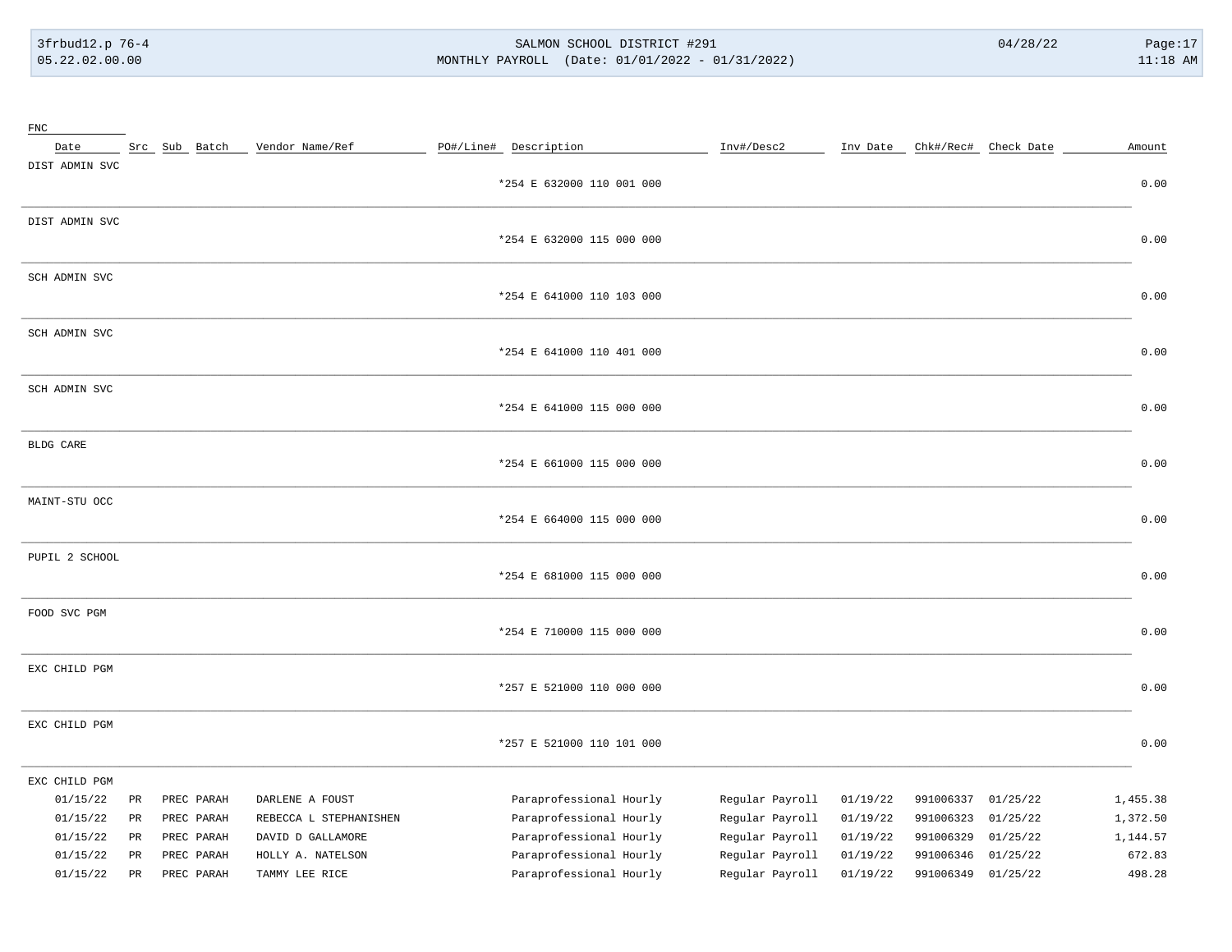# 3frbud12.p 76-4 SALMON SCHOOL DISTRICT #291 04/28/22 Page:17 05.22.02.00.00 MONTHLY PAYROLL (Date: 01/01/2022 - 01/31/2022) 11:18 AM

| FNC            |                 |               |                        |                           |                 |          |           |                                 |          |
|----------------|-----------------|---------------|------------------------|---------------------------|-----------------|----------|-----------|---------------------------------|----------|
| Date           |                 | Src Sub Batch | Vendor Name/Ref        | PO#/Line# Description     | Inv#/Desc2      |          |           | Inv Date _ Chk#/Rec# Check Date | Amount   |
| DIST ADMIN SVC |                 |               |                        |                           |                 |          |           |                                 |          |
|                |                 |               |                        | *254 E 632000 110 001 000 |                 |          |           |                                 | 0.00     |
|                |                 |               |                        |                           |                 |          |           |                                 |          |
| DIST ADMIN SVC |                 |               |                        |                           |                 |          |           |                                 |          |
|                |                 |               |                        | *254 E 632000 115 000 000 |                 |          |           |                                 | 0.00     |
|                |                 |               |                        |                           |                 |          |           |                                 |          |
| SCH ADMIN SVC  |                 |               |                        |                           |                 |          |           |                                 |          |
|                |                 |               |                        | *254 E 641000 110 103 000 |                 |          |           |                                 | 0.00     |
| SCH ADMIN SVC  |                 |               |                        |                           |                 |          |           |                                 |          |
|                |                 |               |                        | *254 E 641000 110 401 000 |                 |          |           |                                 | 0.00     |
|                |                 |               |                        |                           |                 |          |           |                                 |          |
| SCH ADMIN SVC  |                 |               |                        |                           |                 |          |           |                                 |          |
|                |                 |               |                        | *254 E 641000 115 000 000 |                 |          |           |                                 | 0.00     |
|                |                 |               |                        |                           |                 |          |           |                                 |          |
| BLDG CARE      |                 |               |                        |                           |                 |          |           |                                 |          |
|                |                 |               |                        | *254 E 661000 115 000 000 |                 |          |           |                                 | 0.00     |
|                |                 |               |                        |                           |                 |          |           |                                 |          |
| MAINT-STU OCC  |                 |               |                        |                           |                 |          |           |                                 |          |
|                |                 |               |                        | *254 E 664000 115 000 000 |                 |          |           |                                 | 0.00     |
| PUPIL 2 SCHOOL |                 |               |                        |                           |                 |          |           |                                 |          |
|                |                 |               |                        | *254 E 681000 115 000 000 |                 |          |           |                                 | 0.00     |
|                |                 |               |                        |                           |                 |          |           |                                 |          |
| FOOD SVC PGM   |                 |               |                        |                           |                 |          |           |                                 |          |
|                |                 |               |                        | *254 E 710000 115 000 000 |                 |          |           |                                 | 0.00     |
|                |                 |               |                        |                           |                 |          |           |                                 |          |
| EXC CHILD PGM  |                 |               |                        |                           |                 |          |           |                                 |          |
|                |                 |               |                        | *257 E 521000 110 000 000 |                 |          |           |                                 | 0.00     |
|                |                 |               |                        |                           |                 |          |           |                                 |          |
| EXC CHILD PGM  |                 |               |                        |                           |                 |          |           |                                 |          |
|                |                 |               |                        | *257 E 521000 110 101 000 |                 |          |           |                                 | 0.00     |
| EXC CHILD PGM  |                 |               |                        |                           |                 |          |           |                                 |          |
| 01/15/22       | PR              | PREC PARAH    | DARLENE A FOUST        | Paraprofessional Hourly   | Regular Payroll | 01/19/22 | 991006337 | 01/25/22                        | 1,455.38 |
| 01/15/22       | PR              | PREC PARAH    | REBECCA L STEPHANISHEN | Paraprofessional Hourly   | Regular Payroll | 01/19/22 | 991006323 | 01/25/22                        | 1,372.50 |
| 01/15/22       | $\mbox{\sf PR}$ | PREC PARAH    | DAVID D GALLAMORE      | Paraprofessional Hourly   | Regular Payroll | 01/19/22 | 991006329 | 01/25/22                        | 1,144.57 |
| 01/15/22       | PR              | PREC PARAH    | HOLLY A. NATELSON      | Paraprofessional Hourly   | Regular Payroll | 01/19/22 | 991006346 | 01/25/22                        | 672.83   |
| 01/15/22       | $\mathtt{PR}$   | PREC PARAH    | TAMMY LEE RICE         | Paraprofessional Hourly   | Regular Payroll | 01/19/22 | 991006349 | 01/25/22                        | 498.28   |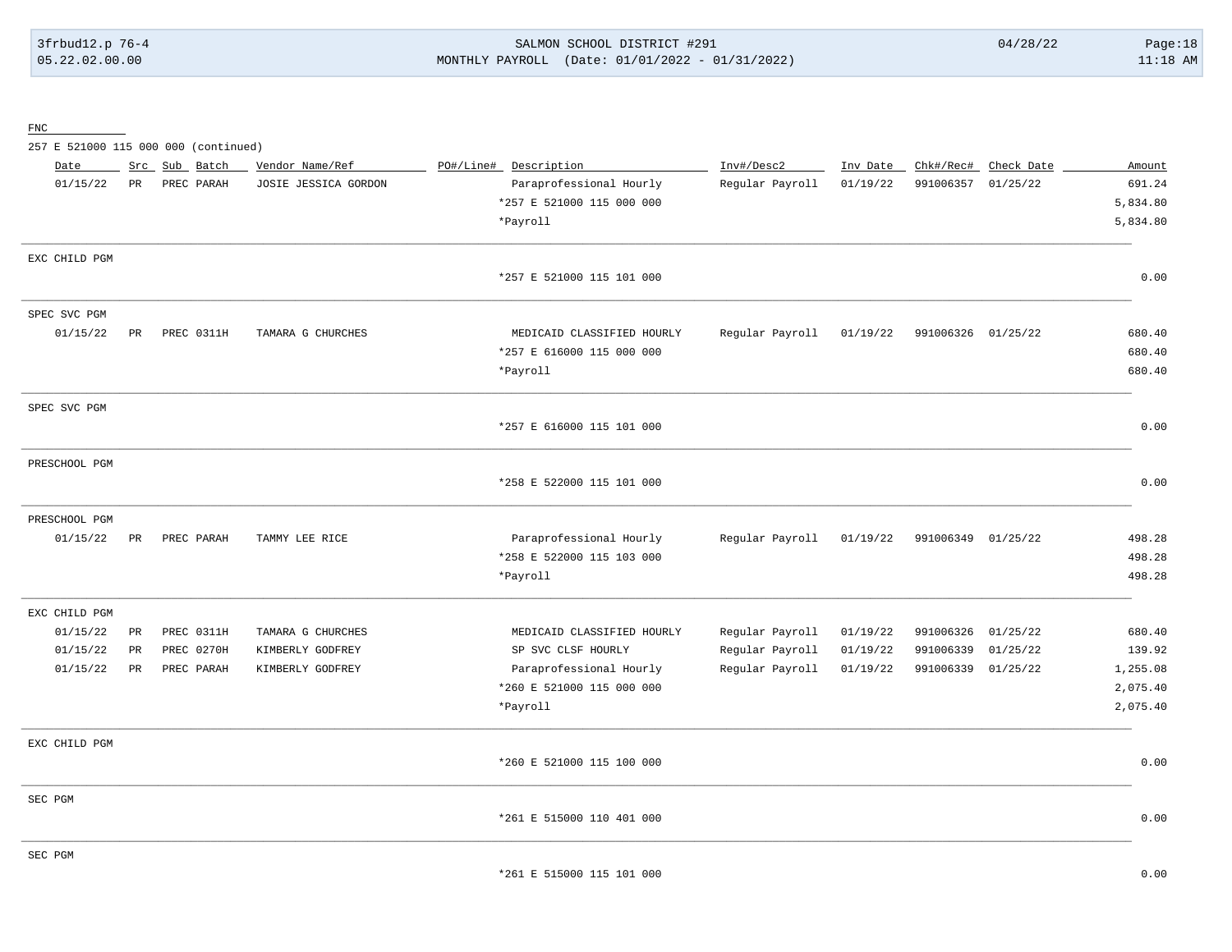3frbud12.p 76-4 SALMON SCHOOL DISTRICT #291 04/28/22 Page:18 05.22.02.00.00 MONTHLY PAYROLL (Date: 01/01/2022 - 01/31/2022) 11:18 AM

FNC

257 E 521000 115 000 000 (continued)

| Date          |    | Src Sub Batch | Vendor Name/Ref      | PO#/Line# Description      | Inv#/Desc2      | Inv Date |                    | Chk#/Rec# Check Date | Amount   |
|---------------|----|---------------|----------------------|----------------------------|-----------------|----------|--------------------|----------------------|----------|
| 01/15/22      | PR | PREC PARAH    | JOSIE JESSICA GORDON | Paraprofessional Hourly    | Regular Payroll | 01/19/22 | 991006357 01/25/22 |                      | 691.24   |
|               |    |               |                      | *257 E 521000 115 000 000  |                 |          |                    |                      | 5,834.80 |
|               |    |               |                      | *Payroll                   |                 |          |                    |                      | 5,834.80 |
| EXC CHILD PGM |    |               |                      |                            |                 |          |                    |                      |          |
|               |    |               |                      | *257 E 521000 115 101 000  |                 |          |                    |                      | 0.00     |
| SPEC SVC PGM  |    |               |                      |                            |                 |          |                    |                      |          |
| 01/15/22      | PR | PREC 0311H    | TAMARA G CHURCHES    | MEDICAID CLASSIFIED HOURLY | Regular Payroll | 01/19/22 | 991006326 01/25/22 |                      | 680.40   |
|               |    |               |                      | *257 E 616000 115 000 000  |                 |          |                    |                      | 680.40   |
|               |    |               |                      | *Payroll                   |                 |          |                    |                      | 680.40   |
| SPEC SVC PGM  |    |               |                      |                            |                 |          |                    |                      |          |
|               |    |               |                      | *257 E 616000 115 101 000  |                 |          |                    |                      | 0.00     |
| PRESCHOOL PGM |    |               |                      |                            |                 |          |                    |                      |          |
|               |    |               |                      | *258 E 522000 115 101 000  |                 |          |                    |                      | 0.00     |
| PRESCHOOL PGM |    |               |                      |                            |                 |          |                    |                      |          |
| 01/15/22      | PR | PREC PARAH    | TAMMY LEE RICE       | Paraprofessional Hourly    | Regular Payroll | 01/19/22 | 991006349 01/25/22 |                      | 498.28   |
|               |    |               |                      | *258 E 522000 115 103 000  |                 |          |                    |                      | 498.28   |
|               |    |               |                      | *Payroll                   |                 |          |                    |                      | 498.28   |
| EXC CHILD PGM |    |               |                      |                            |                 |          |                    |                      |          |
| 01/15/22      | PR | PREC 0311H    | TAMARA G CHURCHES    | MEDICAID CLASSIFIED HOURLY | Regular Payroll | 01/19/22 | 991006326          | 01/25/22             | 680.40   |
| 01/15/22      | PR | PREC 0270H    | KIMBERLY GODFREY     | SP SVC CLSF HOURLY         | Regular Payroll | 01/19/22 | 991006339          | 01/25/22             | 139.92   |
| 01/15/22      | PR | PREC PARAH    | KIMBERLY GODFREY     | Paraprofessional Hourly    | Regular Payroll | 01/19/22 | 991006339 01/25/22 |                      | 1,255.08 |
|               |    |               |                      | *260 E 521000 115 000 000  |                 |          |                    |                      | 2,075.40 |
|               |    |               |                      | *Payroll                   |                 |          |                    |                      | 2,075.40 |
| EXC CHILD PGM |    |               |                      |                            |                 |          |                    |                      |          |
|               |    |               |                      | *260 E 521000 115 100 000  |                 |          |                    |                      | 0.00     |
| SEC PGM       |    |               |                      |                            |                 |          |                    |                      |          |
|               |    |               |                      | *261 E 515000 110 401 000  |                 |          |                    |                      | 0.00     |
| SEC PGM       |    |               |                      |                            |                 |          |                    |                      |          |
|               |    |               |                      | *261 E 515000 115 101 000  |                 |          |                    |                      | 0.00     |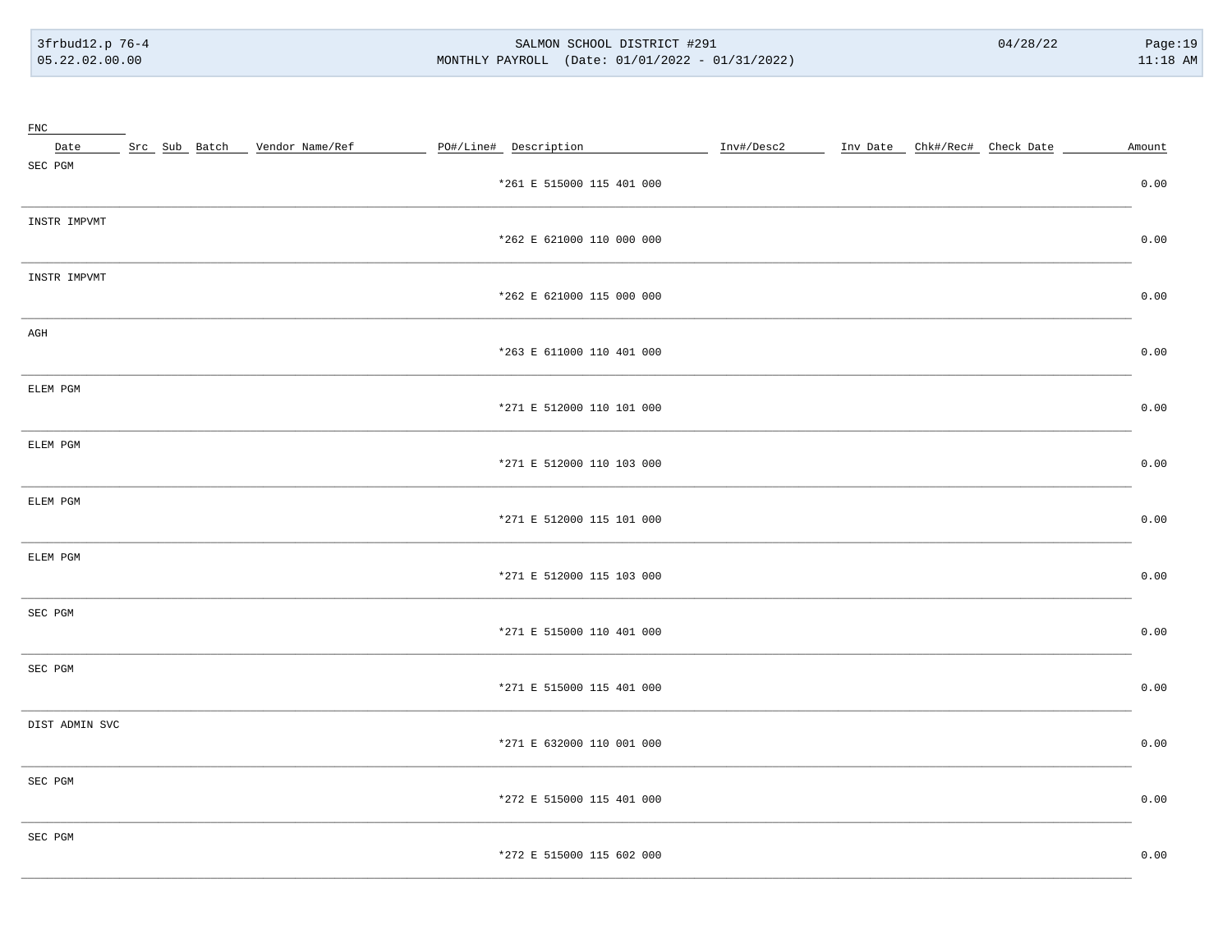#### SALMON SCHOOL DISTRICT #291 MONTHLY PAYROLL (Date: 01/01/2022 - 01/31/2022)

| ${\rm FNC}$     |  | Src Sub Batch Vendor Name/Ref | PO#/Line# Description     | Inv#/Desc2 | Inv Date Chk#/Rec# Check Date |  | Amount |
|-----------------|--|-------------------------------|---------------------------|------------|-------------------------------|--|--------|
| Date<br>SEC PGM |  |                               |                           |            |                               |  |        |
|                 |  |                               | *261 E 515000 115 401 000 |            |                               |  | 0.00   |
| INSTR IMPVMT    |  |                               |                           |            |                               |  |        |
|                 |  |                               | *262 E 621000 110 000 000 |            |                               |  | 0.00   |
| INSTR IMPVMT    |  |                               |                           |            |                               |  |        |
|                 |  |                               | *262 E 621000 115 000 000 |            |                               |  | 0.00   |
| AGH             |  |                               |                           |            |                               |  |        |
|                 |  |                               | *263 E 611000 110 401 000 |            |                               |  | 0.00   |
| ELEM PGM        |  |                               |                           |            |                               |  |        |
|                 |  |                               | *271 E 512000 110 101 000 |            |                               |  | 0.00   |
| ELEM PGM        |  |                               |                           |            |                               |  |        |
|                 |  |                               | *271 E 512000 110 103 000 |            |                               |  | 0.00   |
| ELEM PGM        |  |                               |                           |            |                               |  |        |
|                 |  |                               | *271 E 512000 115 101 000 |            |                               |  | 0.00   |
| ELEM PGM        |  |                               |                           |            |                               |  |        |
|                 |  |                               | *271 E 512000 115 103 000 |            |                               |  | 0.00   |
| SEC PGM         |  |                               |                           |            |                               |  |        |
|                 |  |                               | *271 E 515000 110 401 000 |            |                               |  | 0.00   |
| SEC PGM         |  |                               |                           |            |                               |  |        |
|                 |  |                               | *271 E 515000 115 401 000 |            |                               |  | 0.00   |
| DIST ADMIN SVC  |  |                               |                           |            |                               |  |        |
|                 |  |                               | *271 E 632000 110 001 000 |            |                               |  | 0.00   |
| SEC PGM         |  |                               |                           |            |                               |  |        |
|                 |  |                               | *272 E 515000 115 401 000 |            |                               |  | 0.00   |
| SEC PGM         |  |                               |                           |            |                               |  |        |
|                 |  |                               | *272 E 515000 115 602 000 |            |                               |  | 0.00   |
|                 |  |                               |                           |            |                               |  |        |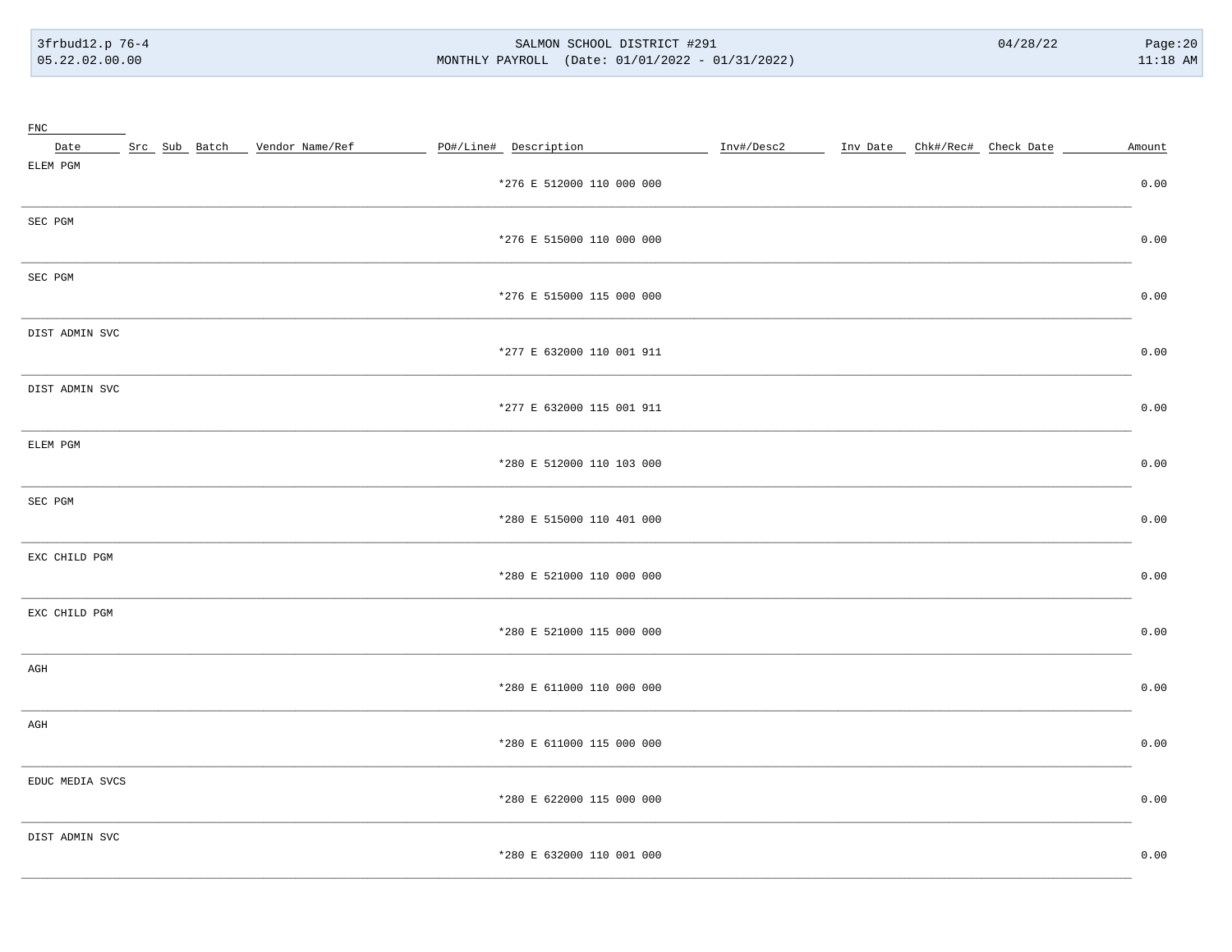#### SALMON SCHOOL DISTRICT #291 MONTHLY PAYROLL (Date: 01/01/2022 - 01/31/2022)

| $_{\rm FNC}$    |  |                                 |  |                           |            |                               |  |        |
|-----------------|--|---------------------------------|--|---------------------------|------------|-------------------------------|--|--------|
| Date            |  | Src Sub Batch _ Vendor Name/Ref |  | PO#/Line# Description     | Inv#/Desc2 | Inv Date Chk#/Rec# Check Date |  | Amount |
| ELEM PGM        |  |                                 |  | *276 E 512000 110 000 000 |            |                               |  | 0.00   |
| SEC PGM         |  |                                 |  | *276 E 515000 110 000 000 |            |                               |  | 0.00   |
| SEC PGM         |  |                                 |  | *276 E 515000 115 000 000 |            |                               |  | 0.00   |
| DIST ADMIN SVC  |  |                                 |  | *277 E 632000 110 001 911 |            |                               |  | 0.00   |
| DIST ADMIN SVC  |  |                                 |  | *277 E 632000 115 001 911 |            |                               |  | 0.00   |
| ELEM PGM        |  |                                 |  | *280 E 512000 110 103 000 |            |                               |  | 0.00   |
| SEC PGM         |  |                                 |  | *280 E 515000 110 401 000 |            |                               |  | 0.00   |
| EXC CHILD PGM   |  |                                 |  | *280 E 521000 110 000 000 |            |                               |  | 0.00   |
| EXC CHILD PGM   |  |                                 |  | *280 E 521000 115 000 000 |            |                               |  | 0.00   |
| AGH             |  |                                 |  | *280 E 611000 110 000 000 |            |                               |  | 0.00   |
| AGH             |  |                                 |  | *280 E 611000 115 000 000 |            |                               |  | 0.00   |
| EDUC MEDIA SVCS |  |                                 |  | *280 E 622000 115 000 000 |            |                               |  | 0.00   |
| DIST ADMIN SVC  |  |                                 |  | *280 E 632000 110 001 000 |            |                               |  | 0.00   |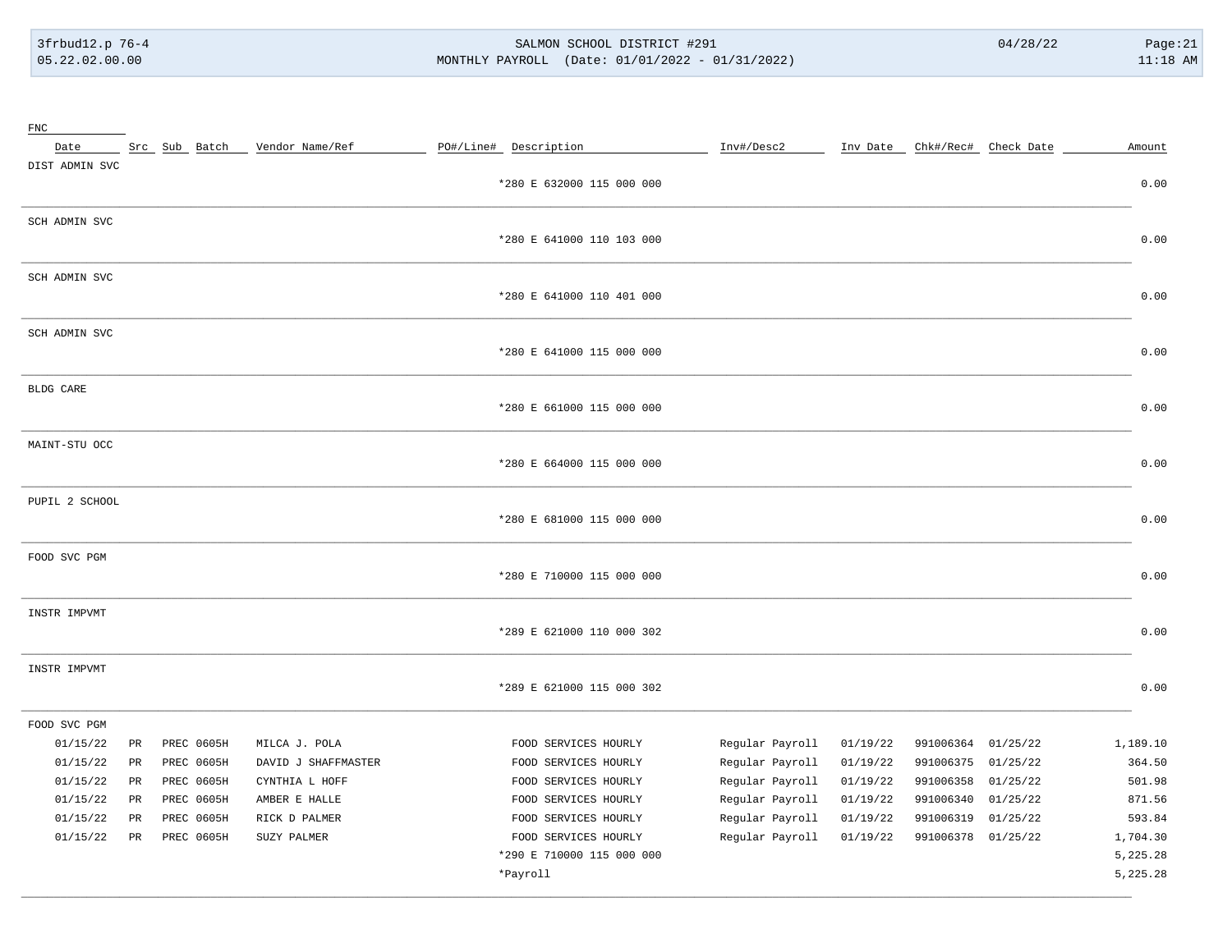# 3frbud12.p 76-4 SALMON SCHOOL DISTRICT #291 04/28/22 Page:21 05.22.02.00.00 MONTHLY PAYROLL (Date: 01/01/2022 - 01/31/2022) 11:18 AM

| ${\rm FNC}$    |                 |               |                     |                           |                 |          |           |                               |          |
|----------------|-----------------|---------------|---------------------|---------------------------|-----------------|----------|-----------|-------------------------------|----------|
| Date           |                 | Src Sub Batch | Vendor Name/Ref     | PO#/Line# Description     | Inv#/Desc2      |          |           | Inv Date Chk#/Rec# Check Date | Amount   |
| DIST ADMIN SVC |                 |               |                     |                           |                 |          |           |                               |          |
|                |                 |               |                     | *280 E 632000 115 000 000 |                 |          |           |                               | 0.00     |
| SCH ADMIN SVC  |                 |               |                     |                           |                 |          |           |                               |          |
|                |                 |               |                     | *280 E 641000 110 103 000 |                 |          |           |                               | 0.00     |
| SCH ADMIN SVC  |                 |               |                     |                           |                 |          |           |                               |          |
|                |                 |               |                     | *280 E 641000 110 401 000 |                 |          |           |                               | 0.00     |
| SCH ADMIN SVC  |                 |               |                     |                           |                 |          |           |                               |          |
|                |                 |               |                     | *280 E 641000 115 000 000 |                 |          |           |                               | 0.00     |
|                |                 |               |                     |                           |                 |          |           |                               |          |
| BLDG CARE      |                 |               |                     | *280 E 661000 115 000 000 |                 |          |           |                               | 0.00     |
|                |                 |               |                     |                           |                 |          |           |                               |          |
| MAINT-STU OCC  |                 |               |                     |                           |                 |          |           |                               |          |
|                |                 |               |                     | *280 E 664000 115 000 000 |                 |          |           |                               | 0.00     |
| PUPIL 2 SCHOOL |                 |               |                     |                           |                 |          |           |                               |          |
|                |                 |               |                     | *280 E 681000 115 000 000 |                 |          |           |                               | 0.00     |
| FOOD SVC PGM   |                 |               |                     |                           |                 |          |           |                               |          |
|                |                 |               |                     | *280 E 710000 115 000 000 |                 |          |           |                               | 0.00     |
| INSTR IMPVMT   |                 |               |                     |                           |                 |          |           |                               |          |
|                |                 |               |                     | *289 E 621000 110 000 302 |                 |          |           |                               | 0.00     |
|                |                 |               |                     |                           |                 |          |           |                               |          |
| INSTR IMPVMT   |                 |               |                     | *289 E 621000 115 000 302 |                 |          |           |                               | 0.00     |
|                |                 |               |                     |                           |                 |          |           |                               |          |
| FOOD SVC PGM   |                 |               |                     |                           |                 |          |           |                               |          |
| 01/15/22       | PR              | PREC 0605H    | MILCA J. POLA       | FOOD SERVICES HOURLY      | Regular Payroll | 01/19/22 | 991006364 | 01/25/22                      | 1,189.10 |
| 01/15/22       | PR              | PREC 0605H    | DAVID J SHAFFMASTER | FOOD SERVICES HOURLY      | Regular Payroll | 01/19/22 | 991006375 | 01/25/22                      | 364.50   |
| 01/15/22       | $_{\rm PR}$     | PREC 0605H    | CYNTHIA L HOFF      | FOOD SERVICES HOURLY      | Regular Payroll | 01/19/22 | 991006358 | 01/25/22                      | 501.98   |
| 01/15/22       | $\mbox{\sf PR}$ | PREC 0605H    | AMBER E HALLE       | FOOD SERVICES HOURLY      | Regular Payroll | 01/19/22 | 991006340 | 01/25/22                      | 871.56   |
| 01/15/22       | PR              | PREC 0605H    | RICK D PALMER       | FOOD SERVICES HOURLY      | Regular Payroll | 01/19/22 | 991006319 | 01/25/22                      | 593.84   |
| 01/15/22       | $_{\rm PR}$     | PREC 0605H    | SUZY PALMER         | FOOD SERVICES HOURLY      | Regular Payroll | 01/19/22 | 991006378 | 01/25/22                      | 1,704.30 |
|                |                 |               |                     | *290 E 710000 115 000 000 |                 |          |           |                               | 5,225.28 |
|                |                 |               |                     | *Payroll                  |                 |          |           |                               | 5,225.28 |
|                |                 |               |                     |                           |                 |          |           |                               |          |